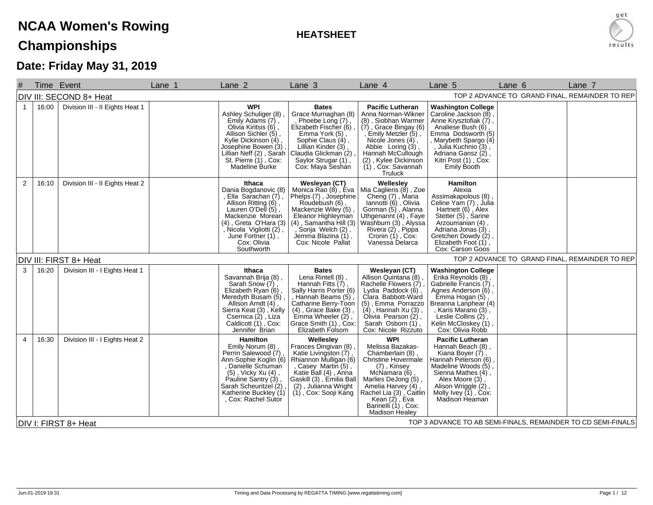## **NCAA Women's RowingChampionships**

**HEATSHEET**



## **Date: Friday May 31, 2019**

| TOP 2 ADVANCE TO GRAND FINAL, REMAINDER TO REP<br>DIV III: SECOND 8+ Heat<br>16:00<br>Division III - II Eights Heat 1<br><b>WPI</b><br><b>Pacific Lutheran</b><br><b>Washington College</b><br><b>Bates</b><br>$\mathbf{1}$<br>Ashley Schuliger (8)<br>Grace Murnaghan (8)<br>Anna Norman-Wikner<br>Caroline Jackson (8),<br>Emily Adams (7),<br>(8), Siobhan Warmer<br>Phoebe Long (7)<br>Anne Krysztofiak $(7)$ ,<br>$(7)$ , Grace Bingay (6)<br>Olivia Kiritsis (6),<br>Elizabeth Fischer (6)<br>Analiese Bush (6),<br>, Emily Metzler (5),<br>Allison Sichler (5),<br>Emma Dodsworth <sup>'(5)</sup><br>Emma York (5),<br>Kylie Dickinson (4),<br>Sophie Claus (4),<br>Nicole Jones (4),<br>, Marybeth Spargo (4)<br>Lillian Kinder (3),<br>Josephine Bowen (3)<br>Abbie Loring (3),<br>, Julia Kuchnio (3),<br>Lillian Neff (2), Sarah<br>St. Pierre (1), Cox:<br>Hannah McCullough<br>Adriana Gansz (2),<br>Claudia Glickman (2)<br>Kitri Post (1), Cox:<br>Saylor Strugar (1),<br>(2), Kylee Dickinson<br><b>Madeline Burke</b><br>Cox: Maya Seshan<br>$(1)$ , Cox: Savannah<br><b>Emily Booth</b><br><b>Truluck</b><br>Division III - II Eights Heat 2<br>$\overline{2}$<br>Wesleyan (CT)<br>Monica Rao (8), Eva<br>Wellesley<br><b>Hamilton</b><br>16:10<br>Ithaca<br>Mia Caglieris (8), Zoe<br>Dania Bogdanovic (8)<br>Alexia<br>Phelps (7), Josephine<br>Cheng (7), Maria<br>Ella Sarachan (7),<br>Assimakapolous (8),<br>Celine Yam (7), Julia<br>Roudebush (6),<br>Allison Ritting (6),<br>lannotti (6), Olivia<br>Gorman (5), Alanna<br>Lauren O'Dell (5),<br>Mackenzie Wiley (5),<br>Hartnett (6), Alex<br>Mackenzie Morean<br>Uthgenannt (4), Faye<br>Washburn (3), Alyssa<br>Stetter (5), Sarine<br>Eleanor Highleyman<br>(4), Samantha Hill (3)<br>$(4)$ , Greta O'Hara $(3)$<br>Arzoumanian (4) | Lane 7 |
|--------------------------------------------------------------------------------------------------------------------------------------------------------------------------------------------------------------------------------------------------------------------------------------------------------------------------------------------------------------------------------------------------------------------------------------------------------------------------------------------------------------------------------------------------------------------------------------------------------------------------------------------------------------------------------------------------------------------------------------------------------------------------------------------------------------------------------------------------------------------------------------------------------------------------------------------------------------------------------------------------------------------------------------------------------------------------------------------------------------------------------------------------------------------------------------------------------------------------------------------------------------------------------------------------------------------------------------------------------------------------------------------------------------------------------------------------------------------------------------------------------------------------------------------------------------------------------------------------------------------------------------------------------------------------------------------------------------------------------------------------------------------------------------------------------------------|--------|
|                                                                                                                                                                                                                                                                                                                                                                                                                                                                                                                                                                                                                                                                                                                                                                                                                                                                                                                                                                                                                                                                                                                                                                                                                                                                                                                                                                                                                                                                                                                                                                                                                                                                                                                                                                                                                    |        |
|                                                                                                                                                                                                                                                                                                                                                                                                                                                                                                                                                                                                                                                                                                                                                                                                                                                                                                                                                                                                                                                                                                                                                                                                                                                                                                                                                                                                                                                                                                                                                                                                                                                                                                                                                                                                                    |        |
| , Nicola Vigliotti (2),<br>Sonja Welch (2),<br>Rivera (2), Pippa<br>Adriana Jonas (3),<br>Cronin $(1)$ , Cox:<br>June Fortner (1),<br>Jemma Blazina (1),<br>Gretchen Dowdy (2),<br>Cox: Nicole Pallat<br>Vanessa Delarca<br>Elizabeth Foot (1),<br>Cox: Carson Goos<br>Southworth                                                                                                                                                                                                                                                                                                                                                                                                                                                                                                                                                                                                                                                                                                                                                                                                                                                                                                                                                                                                                                                                                                                                                                                                                                                                                                                                                                                                                                                                                                                                  |        |
| TOP 2 ADVANCE TO GRAND FINAL, REMAINDER TO REP<br>DIV III: FIRST 8+ Heat                                                                                                                                                                                                                                                                                                                                                                                                                                                                                                                                                                                                                                                                                                                                                                                                                                                                                                                                                                                                                                                                                                                                                                                                                                                                                                                                                                                                                                                                                                                                                                                                                                                                                                                                           |        |
| 3<br>16:20<br>Division III - I Eights Heat 1<br><b>Bates</b><br>Wesleyan (CT)<br>Ithaca<br><b>Washington College</b><br>Allison Quintana (8)<br>Savannah Brija (8)<br>Lena Rintell (8)<br>Erika Reynolds (8),<br>Gabrielle Francis (7),<br>Sarah Snow (7),<br>Hannah Fitts (7),<br>Rachelle Flowers (7)<br>Elizabeth Ryan (6),<br>Sally Harris Porter (6)<br>Lydia Paddock (6)<br>Agnes Anderson (6),<br>Clara Babbott-Ward<br>Meredyth Busam (5)<br>, Hannah Beams (5)<br>Emma Hogan (5)<br>Allison Arndt (4),<br>Catharine Berry-Toon<br>(5), Emma Porrazzo<br>Breanna Lanphear (4)<br>Sierra Keat (3), Kelly<br>Csernica (2), Liza<br>$(4)$ , Grace Bake $(3)$ ,<br>$(4)$ , Hannah Xu $(3)$<br>, Karis Marano (3),<br>Emma Wheeler (2)<br>Leslie Collins (2)<br>Olivia Pearson (2),<br>Caldicott (1), Cox:<br>Grace Smith (1), Cox:<br>Sarah Osborn (1),<br>Kelin McCloskey (1),<br>Jennifer Brian<br>Elizabeth Folsom<br>Cox: Nicole Rizzuto<br>Cox: Olivia Robb                                                                                                                                                                                                                                                                                                                                                                                                                                                                                                                                                                                                                                                                                                                                                                                                                                               |        |
| <b>WPI</b><br>16:30<br>Division III - I Eights Heat 2<br><b>Hamilton</b><br>Wellesley<br><b>Pacific Lutheran</b><br>4<br>Emily Norum (8),<br>Frances Dingivan (8)<br>Melissa Bazakas-<br>Hannah Beach (8),<br>Katie Livingston (7),<br>Perrin Salewood (7)<br>Kiana Boyer (7),<br>Chamberlain (8),<br>Ann-Sophie Koglin (6)<br>Rhiannon Mulligan (6)<br>Christine Hovermale<br>Hannah Peterson (6),<br>Danielle Schuman<br>Madeline Woods (5),<br>, Casey Martin (5),<br>(7), Kinsey<br>McNamara (6),<br>(5), Vicky Xu (4),<br>Katie Ball (4), Anna<br>Sienna Mathes (4),<br>Pauline Santry (3)<br>Gaskill (3), Emilia Ball<br>Marlies DeJong (5),<br>Alex Moore (3)<br>Sarah Scheuritzel (2)<br>(2), Julianna Wright<br>Amelia Harvey (4),<br>Alison Wriggle (2),<br>Katherine Buckley (1)<br>Rachel Lia (3) , Caitlin<br>Molly Ivey (1), Cox:<br>(1), Cox: Sooji Kang<br>Kean $(2)$ , Eva<br>, Cox: Rachel Sutor<br>Madison Heaman<br>Barinelli (1), Cox:<br>Madison Healey<br>TOP 3 ADVANCE TO AB SEMI-FINALS, REMAINDER TO CD SEMI-FINALS<br>DIV I: FIRST 8+ Heat                                                                                                                                                                                                                                                                                                                                                                                                                                                                                                                                                                                                                                                                                                                                              |        |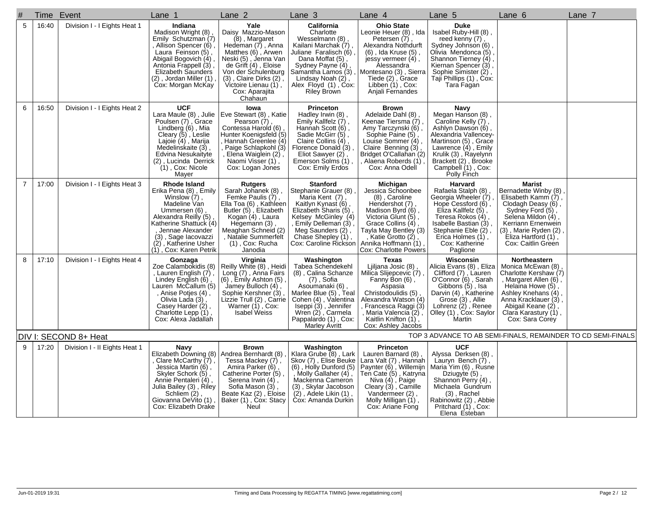| #              | Time  | Event                         | Lane 1                                                                                                                                                                                                                                      | Lane <sub>2</sub>                                                                                                                                                                                                                                  | Lane <sub>3</sub>                                                                                                                                                                                                                        | Lane 4                                                                                                                                                                                                                                  | Lane 5                                                                                                                                                                                                                                | Lane 6                                                                                                                                                                                                                  | Lane 7 |
|----------------|-------|-------------------------------|---------------------------------------------------------------------------------------------------------------------------------------------------------------------------------------------------------------------------------------------|----------------------------------------------------------------------------------------------------------------------------------------------------------------------------------------------------------------------------------------------------|------------------------------------------------------------------------------------------------------------------------------------------------------------------------------------------------------------------------------------------|-----------------------------------------------------------------------------------------------------------------------------------------------------------------------------------------------------------------------------------------|---------------------------------------------------------------------------------------------------------------------------------------------------------------------------------------------------------------------------------------|-------------------------------------------------------------------------------------------------------------------------------------------------------------------------------------------------------------------------|--------|
| 5              | 16:40 | Division I - I Eights Heat 1  | Indiana<br>Madison Wright (8),<br>Emily Schutzman (7)<br>Allison Spencer (6)<br>Laura Feinson (5),<br>Abigail Bogovich (4)<br>Antonia Frappell (3)<br>Elizabeth Saunders<br>(2), Jordan Miller (1)<br>Cox: Morgan McKay                     | Yale<br>Daisy Mazzio-Mason<br>(8), Margaret<br>Hedeman (7), Anna<br>Matthes (6), Arwen<br>Neski (5), Jenna Van<br>de Grift (4), Eloise<br>Von der Schulenburg<br>$(3)$ , Claire Dirks $(2)$ ,<br>Victoire Lienau (1),<br>Cox: Aparajita<br>Chahaun | California<br>Charlotte<br>Wesselmann (8),<br>Kailani Marchak (7)<br>Juliane Faralisch (6)<br>Dana Moffat (5),<br>Sydney Payne (4)<br>Samantha Lamos (3),<br>Lindsay Noah (2),<br>Alex Floyd (1), Cox:<br><b>Riley Brown</b>             | <b>Ohio State</b><br>Leonie Heuer (8), Ida<br>Petersen (7)<br>Alexandra Nothdurft<br>(6), Ida Kruse (5),<br>jessy vermeer $(4)$ ,<br>Alessandra<br>Montesano (3), Sierra<br>Tiede (2), Grace<br>Libben (1), Cox:<br>Anjali Fernandes    | <b>Duke</b><br>Isabel Ruby-Hill (8),<br>reed kenny (7),<br>Sydney Johnson (6)<br>Olivia Mendonca (5)<br>Shannon Tierney (4),<br>Kiernan Spencer (3),<br>Sophie Simister (2),<br>Taji Phillips (1), Cox:<br>Tara Fagan                 |                                                                                                                                                                                                                         |        |
| 6              | 16:50 | Division I - I Eights Heat 2  | <b>UCF</b><br>Lara Maule (8), Julie<br>Poulsen (7), Grace<br>Lindberg (6), Mia<br>Cleary (5), Leslie<br>Lajoie (4), Marija<br>Medelinskaite (3),<br>Edvina Nesukaityte<br>(2), Lucinda Derrick<br>$(1)$ , Cox: Nicole<br>Mayer              | lowa<br>Eve Stewart (8), Katie<br>Pearson (7)<br>Contessa Harold (6)<br>Hunter Koenigsfeld (5)<br>Hannah Greenlee (4)<br>Paige Schlapkohl (3)<br>Elena Waiglein (2),<br>Naomi Visser (1),<br>Cox: Logan Jones                                      | <b>Princeton</b><br>Hadley Irwin (8),<br>Emily Kallfelz (7),<br>Hannah Scott (6),<br>Sadie McGirr (5),<br>Claire Collins (4),<br>Florence Donald (3),<br>Eliot Sawyer (2)<br>Emerson Solms (1),<br>Cox: Emily Erdos                      | <b>Brown</b><br>Adelaide Dahl (8),<br>Keenae Tiersma (7)<br>, Amy Tarczynski (6)<br>Sophie Paine (5),<br>Louise Sommer (4)<br>Claire Benning (3)<br>Bridget O'Callahan (2)<br>Alaena Roberds (1)<br>Cox: Anna Odell                     | Navy<br>Megan Hanson (8),<br>Caroline Kelly (7),<br>Ashlyn Dawson (6)<br>Alexandria Vallencey-<br>Martinson (5), Grace<br>Lawrence $(4)$ , Emily<br>Krulik (3), Rayelynn<br>Brackett (2), Brooke<br>Campbell (1), Cox:<br>Polly Finch |                                                                                                                                                                                                                         |        |
| $\overline{7}$ | 17:00 | Division I - I Eights Heat 3  | <b>Rhode Island</b><br>Erika Pena (8), Emily<br>Winslow (7)<br>Madeline Van<br>Ummersen (6),<br>Alexandra Reilly (5)<br>Katherine Shattuck (4)<br>Jennae Alexander<br>(3), Sage lacovazzi<br>(2), Katherine Usher<br>(1), Cox: Karen Petrik | <b>Rutgers</b><br>Sarah Johanek (8),<br>Femke Paulis (7),<br>Ella Toa (6), Kathleen<br>Butler (5), Elizabeth<br>Kogan (4), Laura<br>Hegemann (3)<br>Meaghan Schneid (2)<br>, Natalie Summerfelt<br>$(1)$ , Cox: Rucha<br>Janodia                   | <b>Stanford</b><br>Stephanie Grauer (8)<br>Maria Kent (7),<br>Kaitlyn Kynast (6)<br>Elizabeth Sharis (5),<br>Kelsey McGinley (4)<br>Emily Delleman (3),<br>Meg Saunders (2),<br>Chase Shepley (1),<br>Cox: Caroline Rickson              | Michigan<br>Jessica Schoonbee<br>(8), Caroline<br>Hendershot (7)<br>Madison Byrd (6),<br>Victoria Glunt (5),<br>Grace Collins (4),<br>Tayla May Bentley (3)<br>, Katie Grotto (2),<br>Annika Hoffmann (1)<br>Cox: Charlotte Powers      | Harvard<br>Rafaela Stalph (8),<br>, (7) Georgia Wheeler<br>Hope Cessford (6),<br>Eliza Kallfelz (5),<br>Teresa Rokos (4)<br>Isabelle Bastian (3),<br>Stephanie Eble (2),<br>Erica Holmes (1),<br>Cox: Katherine<br>Paglione           | <b>Marist</b><br>Bernadette Winby (8)<br>Elisabeth Kamm (7),<br>Clodagh Deasy (6),<br>Sydney Ford (5),<br>Selena Mildon (4),<br>Kerriann Ernenwein<br>(3), Marie Ryden (2)<br>Eliza Hartford (1),<br>Cox: Caitlin Green |        |
| 8              | 17:10 | Division I - I Eights Heat 4  | Gonzaga<br>Zoe Calambokidis (8)<br>Lauren English (7)<br>Lindey English (6),<br>Lauren McCallum (5)<br>, Anise Potjes (4),<br>Olivia Lada (3),<br>Casey Harder (2),<br>Charlotte Lepp (1),<br>Cox: Alexa Jadallah                           | Virginia<br>Reilly White (8), Heidi<br>Long (7), Anna Fairs<br>$(6)$ , Emily Ashton $(5)$ ,<br>Jamey Bulloch (4)<br>Sophie Kershner (3)<br>Lizzie Trull (2), Carrie<br>Warner (1), Cox:<br><b>Isabel Weiss</b>                                     | Washington<br>Tabea Schendekehl<br>(8), Calina Schanze<br>$(7)$ , Sofia<br>Asoumanaki (6),<br>Marlee Blue (5), Teal<br>Cohen (4), Valentina<br>Iseppi (3), Jennifer<br>Wren (2), Carmela<br>Pappalardo (1), Cox:<br><b>Marley Avritt</b> | <b>Texas</b><br>Ljiljana Josic (8),<br>Milica Slijepcevic (7)<br>Fanny Bon (6),<br>Aspasia<br>Christodoulidis (5)<br>Alexandra Watson (4)<br>Francesca Raggi (3)<br>, Maria Valencia (2),<br>Kaitlin Knifton (1),<br>Cox: Ashley Jacobs | Wisconsin<br>Alicia Evans (8), Eliza<br>Clifford (7), Lauren<br>O'Connor (6), Sarah<br>Gibbons (5), Isa<br>Darvin (4), Katherine<br>Grose (3), Allie<br>Lohrenz $(2)$ , Renee<br>Olley (1), Cox: Saylor<br>Martin                     | Northeastern<br>Monica McEwan (8)<br>Charlotte Kershaw (7)<br>, Margaret Allen (6),<br>Helaina Howe (5),<br>Ashley Knehans (4)<br>Anna Kracklauer (3)<br>Abigail Keane (2),<br>Clara Karastury (1),<br>Cox: Sara Corey  |        |
|                |       | DIV I: SECOND 8+ Heat         |                                                                                                                                                                                                                                             |                                                                                                                                                                                                                                                    |                                                                                                                                                                                                                                          |                                                                                                                                                                                                                                         |                                                                                                                                                                                                                                       | TOP 3 ADVANCE TO AB SEMI-FINALS, REMAINDER TO CD SEMI-FINALS                                                                                                                                                            |        |
| 9              | 17:20 | Division I - II Eights Heat 1 | Navy<br>Elizabeth Downing (8) Andrea Bernhardt (8)<br>Clare McCarthy $(7)$ ,<br>Jessica Martin (6),<br>Skyler Schork (5),<br>Annie Pentaleri (4),<br>Julia Bailey (3), Riley<br>Schliem (2),<br>Giovanna DeVito (1)<br>Cox: Elizabeth Drake | <b>Brown</b><br>Tessa Mackey (7),<br>Amira Parker (6)<br>Catherine Porter (5)<br>Serena Irwin (4),<br>Sofia Mason (3),<br>Beate Kaz (2), Eloise<br>Baker (1), Cox: Stacy<br>Neul                                                                   | Washington<br>Klara Grube $(8)$ , Lark<br>Skov (7), Elise Beuke<br>(6), Holly Dunford (5)<br>, Molly Gallaher (4),<br>Mackenna Cameron<br>(3), Skylar Jacobson<br>$(2)$ , Adele Likin $(1)$ ,<br>Cox: Amanda Durkin                      | <b>Princeton</b><br>Lauren Barnard (8),<br>Lara Valt (7), Hannah<br>Paynter (6), Willemijn<br>Teń Cate (5) , Katryńa<br>Niva (4), Paige<br>Cleary $(3)$ , Camille<br>Vandermeer (2),<br>Molly Milligan (1),<br>Cox: Ariane Fong         | <b>UCF</b><br>Alyssa Derksen (8),<br>Lauryn Bench (7),<br>Maria Yim (6), Rusne<br>Dziugyte (5),<br>Shannon Perry (4),<br>Michaela Gundrum<br>$(3)$ , Rachel<br>Rabinowitz (2), Abbie<br>Pritchard (1), Cox:<br>Elena Esteban          |                                                                                                                                                                                                                         |        |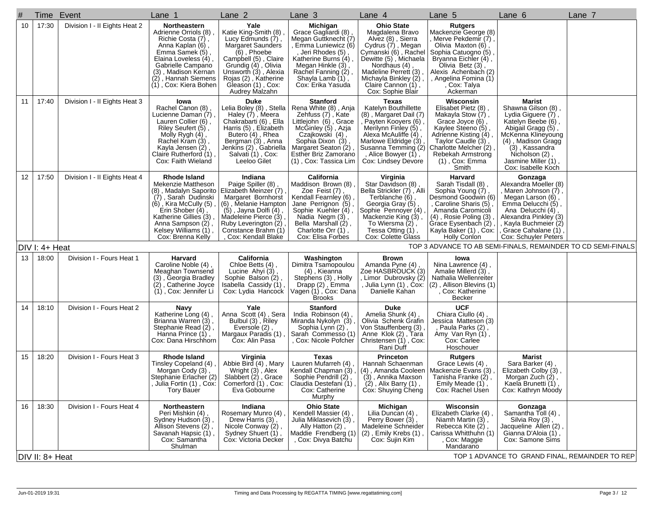| #               | Time Event                                                        |                               | Lane 1                                                                                                                                                                                                                                     | Lane 2                                                                                                                                                                                                                             | Lane <sub>3</sub>                                                                                                                                                                                                          | Lane 4                                                                                                                                                                                                                                      | Lane 5                                                                                                                                                                                                                            | Lane 6                                                                                                                                                                                                                     | Lane 7 |  |  |
|-----------------|-------------------------------------------------------------------|-------------------------------|--------------------------------------------------------------------------------------------------------------------------------------------------------------------------------------------------------------------------------------------|------------------------------------------------------------------------------------------------------------------------------------------------------------------------------------------------------------------------------------|----------------------------------------------------------------------------------------------------------------------------------------------------------------------------------------------------------------------------|---------------------------------------------------------------------------------------------------------------------------------------------------------------------------------------------------------------------------------------------|-----------------------------------------------------------------------------------------------------------------------------------------------------------------------------------------------------------------------------------|----------------------------------------------------------------------------------------------------------------------------------------------------------------------------------------------------------------------------|--------|--|--|
| 10              | 17:30                                                             | Division I - II Eights Heat 2 | Northeastern<br>Adrienne Orriols (8)<br>Richie Costa (7),<br>Anna Kaplan (6),<br>Emma Samek (5),<br>Elaina Loveless (4),<br>Gabrielle Campano<br>(3), Madison Kernan<br>(2), Hannah Siemens<br>(1), Cox: Kiera Bohen                       | Yale<br>Katie King-Smith (8)<br>Lucy Edmunds (7),<br>Margaret Saunders<br>(6), Phoebe<br>Campbell (5), Claire<br>Grundig (4), Olivia<br>Unsworth (3), Alexia<br>Rojas (2), Katherine<br>Gleason (1), Cox:<br>Audrey Malzahn        | Michigan<br>Grace Gagliardi (8)<br>Megan Guttknecht (7)<br>, Emma Luniewicz (6)<br>, Jeri Rhodes (5)<br>Katherine Burns (4),<br>Megan Hinkle (3),<br>Rachel Fanning (2),<br>Shayla Lamb (1),<br>Cox: Erika Yasuda          | <b>Ohio State</b><br>Magdalena Bravo<br>Alvez (8), Sierra<br>Cydrus (7), Megan<br>Cymanski (6), Rachel<br>Dewitte (5), Michaela<br>Nordhaus (4)<br>Madeline Perrett (3)<br>Michayla Binkley (2),<br>Claire Cannon (1),<br>Cox: Sophie Blair | <b>Rutgers</b><br>Mackenzie George (8)<br>Merve Pekdemir (7),<br>Olivia Maxton (6),<br>Sophia Catuogno (5)<br>Bryanna Eichler (4),<br>Olivia Betz (3),<br>Alexis Achenbach (2)<br>, Angelina Fomina (1)<br>Cox: Talya<br>Ackerman |                                                                                                                                                                                                                            |        |  |  |
| 11              | 17:40                                                             | Division I - II Eights Heat 3 | lowa<br>Rachel Canon (8),<br>Lucienne Daman (7)<br>Lauren Collier (6),<br>Riley Seufert (5),<br>Molly Rygh (4)<br>Rachel Kram (3),<br>Kayla Jensen (2),<br>Claire Rutherford (1),<br>Cox: Faith Wieland                                    | <b>Duke</b><br>Lelia Boley (8), Stella<br>Haley (7), Meera<br>Chakrabarti (6), Ella<br>Harris (5), Elizabeth<br>Butero (4), Rhea<br>Bergman (3), Anna<br>Jenkins (2), Gabriella<br>Salvati (1), Cox:<br>Leeloo Gilet               | <b>Stanford</b><br>Rena White (8), Anja<br>Zehfuss (7), Kate<br>Littlejohn (6), Grace<br>McGinley (5), Azja<br>Czajkowski (4),<br>Sophia Dixon (3)<br>Margaret Seaton (2)<br>Esther Briz Zamorano<br>(1), Cox: Tassica Lim | Texas<br>Katelyn Bouthillette<br>(8), Margaret Dail (7)<br>`Payten Kooyers (6),<br>Merilynn Finley (5),<br>Alexa McAuliffe (4)<br>Marlowe Eldridge (3)<br>Susanna Temming (2)<br>, Alice Bowyer (1),<br>Cox: Lindsey Devore                 | Wisconsin<br>Elisabet Pietz (8)<br>Makayla Stow (7),<br>Grace Joyce (6),<br>Kaylee Steeno (5),<br>Adrienne Kisting (4)<br>Taylor Caudle (3)<br>Charlotte Melcher (2)<br>Rebekah Armstrong<br>$(1)$ , Cox: Emma<br>Smith           | Marist<br>Shawna Gilson (8),<br>Lydia Giguere (7),<br>Katelyn Beebe (6),<br>Abigail Gragg (5),<br>McKenna Klineyoung<br>(4), Madison Gragg<br>(3), Kassandra<br>Nicholson (2),<br>Jasmine Miller (1)<br>Cox: Isabelle Koch |        |  |  |
| 12 <sup>2</sup> | 17:50                                                             | Division I - II Eights Heat 4 | <b>Rhode Island</b><br>Mekenzie Mattheson<br>(8), Madalyn Saporito<br>(7), Sarah Dudinski<br>$(\hat{6})$ , Kira McCully (5)<br>Erin Shober (4),<br>Katherine Gillies (3)<br>Anna Sampson (2),<br>Kelsey Williams (1),<br>Cox: Brenna Kelly | Indiana<br>Paige Spiller (8),<br>Elizabeth Meinzer (7)<br>Margaret Bornhorst<br>(6), Melanie Hampton<br>$(5)$ , Jayna Dolfi $(4)$<br>Madeleine Pierce (3),<br>Ruby Leverington (2),<br>Constance Brahm (1)<br>, Cox: Kendall Blake | California<br>Maddison Brown (8)<br>Zoe Feist (7)<br>Kendall Fearnley (6)<br>Jane Perrignon (5),<br>Sophie Kuehler (4),<br>Nadia Negm (3),<br>Bella Marshall (2),<br>Charlotte Orr $(1)$ ,<br>Cox: Elisa Forbes            | Virginia<br>Star Davidson (8),<br>Bella Strickler (7), Alli<br>Terblanche (6),<br>Georgia Gray (5),<br>Sophie Pennoyer (4)<br>Mackenzie King (3)<br>To Wiersma $(2)$ .<br>Tessa Otting (1),<br>Cox: Colette Glass                           | Harvard<br>Sarah Tisdall (8)<br>Sophia Young (7),<br>Desmond Goodwin (6)<br>, Caroline Sharis (5)<br>Amanda Caromicoli<br>$(4)$ , Rosie Poling $(3)$<br>Grace Eysenbach (2),<br>Kayla Baker (1), Cox:<br>Holly Conlon             | Gonzaga<br>Alexandra Moeller (8)<br>, Maren Johnson (7)<br>Megan Larson (6),<br>Emma Delucchi (5),<br>Ana Delucchi (4)<br>Alexandra Pinkley (3)<br>, Kayla Buchmeier (2)<br>Grace Cahalane (1)<br>Cox: Schuyler Peters     |        |  |  |
|                 | DIV I: 4+ Heat                                                    |                               |                                                                                                                                                                                                                                            |                                                                                                                                                                                                                                    |                                                                                                                                                                                                                            |                                                                                                                                                                                                                                             | TOP 3 ADVANCE TO AB SEMI-FINALS, REMAINDER TO CD SEMI-FINALS                                                                                                                                                                      |                                                                                                                                                                                                                            |        |  |  |
| 13              | 18:00                                                             | Division I - Fours Heat 1     | Harvard<br>Caroline Noble (4),<br>Meaghan Townsend<br>(3), Georgia Bradley<br>(2), Catherine Joyce<br>(1), Cox: Jennifer Li                                                                                                                | California<br>Chloe Betts (4),<br>Lucine Ahyi (3),<br>Sophie Balson (2)<br>Isabella Cassidy (1)<br>Cox: Lydia Hancock                                                                                                              | Washington<br>Dimitra Tsamopoulou<br>(4), Kieanna<br>Stephens (3), Holly<br>Drapp (2) , Emma<br>Vagen (1) , Cox: Dana<br><b>Brooks</b>                                                                                     | Brown<br>Amanda Pyne (4)<br>Zoe HASBROUCK (3)<br>, Limor Dubrovsky (2)<br>, Julia Lynn (1) , Cox:<br>Danielle Kahan                                                                                                                         | Iowa<br>Nina Lawrence (4),<br>Amalie Millerd (3),<br>Nathalia Wellenreiter<br>(2), Allison Blevins (1)<br>, Cox: Katherine<br><b>Becker</b>                                                                                       |                                                                                                                                                                                                                            |        |  |  |
| 14              | 18:10                                                             | Division I - Fours Heat 2     | Navy<br>Katherine Long (4),<br>Brianna Warren (3),<br>Stephanie Read (2),<br>Hanna Prince (1),<br>Cox: Dana Hirschhorn                                                                                                                     | Yale<br>Anna Scott (4), Sera<br>Bulbul (3), Riley<br>Eversole (2),<br>Margaux Paradís (1)<br>Cox: Alin Pasa                                                                                                                        | <b>Stanford</b><br>India Robinson (4),<br>Miranda Nykolyn (3)<br>Sophia Lynn (2),<br>Sarah Commesso (1)<br>, Cox: Nicole Pofcher                                                                                           | <b>Duke</b><br>Amelia Shunk (4),<br>Olivia Schenk Grafin<br>Von Stauffenberg (3)<br>Anne Klok (2), Tara<br>Christensen (1), Cox:<br>Rani Duff                                                                                               | <b>UCF</b><br>Chiara Ciullo (4)<br>Jessica Matteson (3)<br>, Paula Parks (2),<br>Amy Van Ryn (1),<br>Cox: Carlee<br>Hoschouer                                                                                                     |                                                                                                                                                                                                                            |        |  |  |
| 15              | 18:20                                                             | Division I - Fours Heat 3     | Rhode Island<br>Tinsley Copeland (4),<br>Morgan Cody (3),<br>Stephanie Erlacher (2)<br>Julia Fortin (1), Cox:<br><b>Tory Bauer</b>                                                                                                         | Virginia<br>Abbie Bird (4), Mary<br>Wright (3), Alex<br>Slabbert (2), Grace<br>Comerford (1), Cox:<br>Eva Gobourne                                                                                                                 | Texas<br>Lauren Mufarreh (4)<br>Kendall Chapman (3)<br>Sophie Pendrill (2),<br>  Claudia Destefani (1)<br>Cox: Catherine<br>Murphy                                                                                         | <b>Princeton</b><br>Hannah Schaenman<br>(4), Amanda Cooleen   Mackenzie Evans (3)<br>(3), Annika Maxson<br>$(2)$ , Alix Barry $(1)$ ,<br>Cox: Shuying Cheng                                                                                 | <b>Rutgers</b><br>Grace Lewis (4),<br>Tanisha Franke (2),<br>Emily Meade (1),<br>Cox: Rachel Usen                                                                                                                                 | <b>Marist</b><br>Sara Barker (4)<br>Elizabeth Colby (3),<br>Morgan Zuch (2),<br>Kaela Brunetti (1),<br>Cox: Kathryn Moody                                                                                                  |        |  |  |
| 16              | 18:30                                                             | Division I - Fours Heat 4     | Northeastern<br>Peri Mishkin (4)<br>Sydney Hudson (3),<br>Allison Stevens (2),<br>Savanah Hapsic (1),<br>Cox: Samantha<br>Shulman                                                                                                          | Indiana<br>Rosemary Munro (4)<br>Drew Harris (3),<br>Nicole Conway (2),<br>Sydney Shuert (1),<br>Cox: Victoria Decker                                                                                                              | <b>Ohio State</b><br>Kendell Massier (4)<br>Julia Miklasevich (3)<br>Ally Hatton (2),<br>Maddie Frendberg (1)<br>, Cox: Divya Batchu                                                                                       | Michigan<br>Lilia Duncan (4),<br>Perry Bower $(3)$ ,<br>Madeleine Schneider<br>(2), Emily Krebs (1)<br>Cox: Sujin Kim                                                                                                                       | Wisconsin<br>Elizabeth Clarke (4)<br>Niamh Martin (3),<br>Rebecca Kite (2)<br>Carissa Whitthuhn (1)<br>, Cox: Maggie<br>Mandarano                                                                                                 | Gonzaga<br>Samantha Toll (4),<br>Silvia Roy (3),<br>Jacqueline Allen (2),<br>Gianna D'Aloia (1),<br>Cox: Samone Sims                                                                                                       |        |  |  |
|                 | TOP 1 ADVANCE TO GRAND FINAL, REMAINDER TO REP<br>DIV II: 8+ Heat |                               |                                                                                                                                                                                                                                            |                                                                                                                                                                                                                                    |                                                                                                                                                                                                                            |                                                                                                                                                                                                                                             |                                                                                                                                                                                                                                   |                                                                                                                                                                                                                            |        |  |  |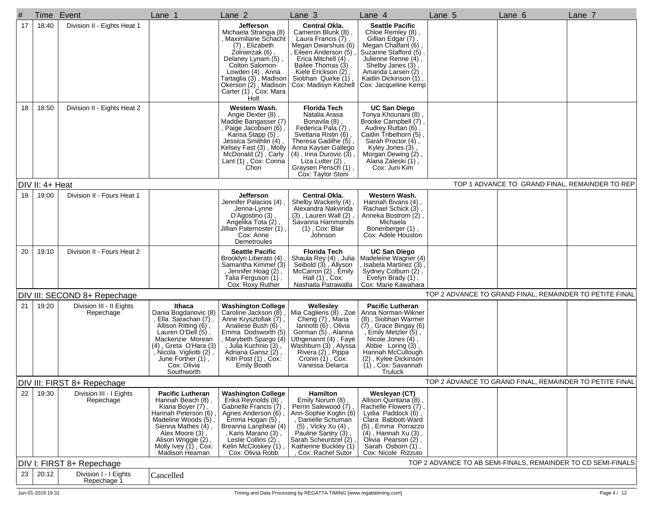| #  | Time            | Event                                 | Lane 1                                                                                                                                                                                                                       | Lane 2                                                                                                                                                                                                                                                 | Lane 3                                                                                                                                                                                                                                            | Lane 4                                                                                                                                                                                                                                              | Lane 5 | Lane 6                                                       | Lane 7 |
|----|-----------------|---------------------------------------|------------------------------------------------------------------------------------------------------------------------------------------------------------------------------------------------------------------------------|--------------------------------------------------------------------------------------------------------------------------------------------------------------------------------------------------------------------------------------------------------|---------------------------------------------------------------------------------------------------------------------------------------------------------------------------------------------------------------------------------------------------|-----------------------------------------------------------------------------------------------------------------------------------------------------------------------------------------------------------------------------------------------------|--------|--------------------------------------------------------------|--------|
| 17 | 18:40           | Division II - Eights Heat 1           |                                                                                                                                                                                                                              | <b>Jefferson</b><br>Michaela Strangia (8)<br>, Maximiliane Schacht<br>(7), Elizabeth<br>Zolnierzak (6)<br>Delaney Lynam (5)<br>Colton Salomon-<br>Lowden (4), Anna<br>Tartaglia (3) , Madison<br>Okerson (2), Madison<br>Carter (1), Cox: Mara<br>Holt | <b>Central Okla.</b><br>Cameron Blunk (8),<br>Laura Francis $(\dot{7})$ ,<br>Megan Dwarshuis (6)<br>Eileen Anderson (5)<br>Erica Mitchell (4),<br>Bailee Thomas (3).<br>Kiele Erickson (2),<br>Siobhan Quirke (1),<br>Cox: Madisyn Kitchell       | <b>Seattle Pacific</b><br>Chloe Remley (8),<br>Gillian Edgar (7),<br>Megan Chalfant (6)<br>Suzanne Stafford (5),<br>Julienne Renne (4),<br>Shelby Janes (3)<br>Amanda Larsen (2),<br>Kaitlin Dickinson (1),<br>Cox: Jacqueline Kemp                 |        |                                                              |        |
| 18 | 18:50           | Division II - Eights Heat 2           |                                                                                                                                                                                                                              | Western Wash.<br>Angie Dexter (8).<br>Maddie Bangasser (7)<br>Paige Jacobsen (6)<br>Karisa Stapp (5)<br>Jessica Smithlin (4),<br>Kelsey Fast (3), Molly<br>McDonald (2), Carly<br>Lant (1), Cox: Corina<br>Chon                                        | <b>Florida Tech</b><br>Natalia Arasa<br>Bonavila (8),<br>Federica Pala (7),<br>Svetlana Ristin (6),<br>Theresa Gadilhe (5)<br>Anna Kayser Gallego<br>$(4)$ , Irina Durovic $(3)$ ,<br>Liza Lutter (2),<br>Graysen Pensch (1)<br>Cox: Taylor Stoni | <b>UC San Diego</b><br>Tonya Khounani (8),<br>Brooke Campbell (7),<br>Audrey Ruttan (6),<br>Caitlin Tribelhorn (5),<br>Sarah Proctor (4),<br>Kyley Jones (3),<br>Morgan Dewing (2),<br>Alana Zaleski (1),<br>Cox: Juni Kim                          |        |                                                              |        |
|    | DIV II: 4+ Heat |                                       |                                                                                                                                                                                                                              |                                                                                                                                                                                                                                                        |                                                                                                                                                                                                                                                   |                                                                                                                                                                                                                                                     |        | TOP 1 ADVANCE TO GRAND FINAL, REMAINDER TO REP               |        |
| 19 | 19:00           | Division II - Fours Heat 1            |                                                                                                                                                                                                                              | Jefferson<br>Jennifer Palacios (4)<br>Jenna-Lynne<br>D'Agostino (3)<br>Angelika Tota (2)<br>Jillian Paternoster (1)<br>Cox: Anne<br>Demetroules                                                                                                        | Central Okla.<br>Shelby Wackerly (4)<br>Alexandra Nakvinda<br>$(3)$ , Lauren Wall $(2)$ ,<br>Savanna Hammonds<br>(1), Cox: Blair<br>Johnson                                                                                                       | Western Wash.<br>Hannah Bivans (4),<br>Rachael Schick (3)<br>Anneka Bostrom (2),<br>Michaela<br>Bonenberger (1),<br>Cox: Adele Houston                                                                                                              |        |                                                              |        |
| 20 | 19:10           | Division II - Fours Heat 2            |                                                                                                                                                                                                                              | <b>Seattle Pacific</b><br>Brooklyn Liberato (4)<br>Samantha Kimmel (3)<br>, Jennifer Hoag (2),<br>Talia Ferguson (1),<br>Cox: Roxy Ruther                                                                                                              | <b>Florida Tech</b><br>Shaula Rey (4), Julia<br>Seibold (3), Allyson<br>McCarron (2), Emily<br>Hall (1), Cox:<br>Nashaita Patrawalla                                                                                                              | <b>UC San Diego</b><br>Madeleine Wagner (4)<br>Isabela Martinez (3),<br>Sydney Colburn (2),<br>Evelyn Brady (1),<br>Cox: Marie Kawahara                                                                                                             |        |                                                              |        |
|    |                 | DIV III: SECOND 8+ Repechage          |                                                                                                                                                                                                                              |                                                                                                                                                                                                                                                        |                                                                                                                                                                                                                                                   |                                                                                                                                                                                                                                                     |        | TOP 2 ADVANCE TO GRAND FINAL, REMAINDER TO PETITE FINAL      |        |
| 21 | 19:20           | Division III - II Eights<br>Repechage | Ithaca<br>Dania Bogdanovic (8)<br>Ella Sarachan (7),<br>Allison Ritting (6),<br>Lauren O'Dell (5),<br>Mackenzie Morean<br>(4), Greta O'Hara (3)<br>, Nicola Vigliotti (2),<br>June Fortner (1),<br>Cox: Olivia<br>Southworth | <b>Washington College</b><br>Caroline Jackson (8)<br>Anne Krysztofiak (7),<br>Analiese Bush (6),<br>Emma Dodsworth (5)<br>, Marybeth Spargo (4)<br>, Julia Kuchnio (3),<br>Adriana Gansz (2),<br>Kitri Post (1), Cox:<br>Emily Booth                   | Wellesley<br>Mia Caglieris (8), Zoe<br>Cheng (7), Maria<br>lannotti (6), Olivia<br>Gorman (5), Alanna<br>Uthgenannt (4), Faye<br>Washburn (3), Alyssa<br>Rivera (2), Pippa<br>Cronin (1), Cox:<br>Vanessa Delarca                                 | <b>Pacific Lutheran</b><br>Anna Norman-Wikner<br>(8), Siobhan Warmer<br>$(7)$ , Grace Bingay (6)<br>, Emily Metzler (5),<br>Nicole Jones $(4)$ ,<br>Abbie Loring (3),<br>Hannah McCullough<br>(2), Kylee Dickinson<br>(1), Cox: Savannah<br>Truluck |        |                                                              |        |
|    |                 | DIV III: FIRST 8+ Repechage           |                                                                                                                                                                                                                              |                                                                                                                                                                                                                                                        |                                                                                                                                                                                                                                                   |                                                                                                                                                                                                                                                     |        | TOP 2 ADVANCE TO GRAND FINAL, REMAINDER TO PETITE FINAL      |        |
| 22 | 19:30           | Division III - I Eights<br>Repechage  | <b>Pacific Lutheran</b><br>Hannah Beach (8),<br>Kiana Boyer (7)<br>Hannah Peterson (6)<br>Madeline Woods (5),<br>Sienna Mathes (4),<br>Alex Moore (3),<br>Alison Wriggle (2),<br>Molly Ivey (1), Cox:<br>Madison Heaman      | <b>Washington College</b><br>Erika Reynolds (8),<br>Gabrielle Francis (7)<br>Agnes Anderson (6)<br>Emma Hogan (5)<br>Breanna Lanphear (4)<br>, Karis Marano (3) ,<br>Leslie Collins (2),<br>Kelin McCloskey (1)<br>Cox: Olivia Robb                    | Hamilton<br>Emily Norum (8),<br>Perrin Salewood (7)<br>Ann-Sophie Koglin (6)<br>, Danielle Schuman<br>(5), Vicky Xu (4),<br>Pauline Santry (3)<br>Sarah Scheuritzel (2)<br>Katherine Buckley (1)<br>Cox: Rachel Sutor                             | Wesleyan (CT)<br>Allison Quintana (8),<br>Rachelle Flowers (7),<br>Lydia Paddock (6),<br>Clara Babbott-Ward<br>(5), Emma Porrazzo<br>(4), Hannah Xu (3),<br>Olivia Pearson (2),<br>Sarah Osborn (1),<br>Cox: Nicole Rizzuto                         |        |                                                              |        |
|    |                 | DIV I: FIRST 8+ Repechage             |                                                                                                                                                                                                                              |                                                                                                                                                                                                                                                        |                                                                                                                                                                                                                                                   |                                                                                                                                                                                                                                                     |        | TOP 2 ADVANCE TO AB SEMI-FINALS, REMAINDER TO CD SEMI-FINALS |        |
| 23 | 20:12           | Division I - I Eights<br>Repechage 1  | Cancelled                                                                                                                                                                                                                    |                                                                                                                                                                                                                                                        |                                                                                                                                                                                                                                                   |                                                                                                                                                                                                                                                     |        |                                                              |        |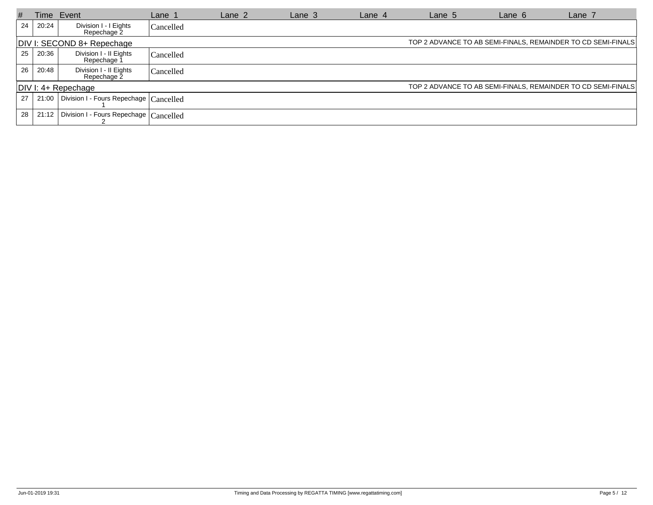| #  |                                                                                            | Time Event                                               | Lane 1    | Lane 2 | Lane $3$ | Lane $4$ | Lane 5 | Lane 6 | Lane 7                                                       |  |  |
|----|--------------------------------------------------------------------------------------------|----------------------------------------------------------|-----------|--------|----------|----------|--------|--------|--------------------------------------------------------------|--|--|
| 24 | 20:24                                                                                      | Division I - I Eights<br>Repechage 2                     | Cancelled |        |          |          |        |        |                                                              |  |  |
|    | TOP 2 ADVANCE TO AB SEMI-FINALS, REMAINDER TO CD SEMI-FINALS<br>DIV I: SECOND 8+ Repechage |                                                          |           |        |          |          |        |        |                                                              |  |  |
| 25 | 20:36                                                                                      | Division I - Il Eights<br>Repechage 1                    | Cancelled |        |          |          |        |        |                                                              |  |  |
| 26 | 20:48                                                                                      | Division I - II Eights<br>Repechage 2                    | Cancelled |        |          |          |        |        |                                                              |  |  |
|    |                                                                                            | $ DIV $ : 4+ Repechage                                   |           |        |          |          |        |        | TOP 2 ADVANCE TO AB SEMI-FINALS, REMAINDER TO CD SEMI-FINALS |  |  |
| 27 |                                                                                            | 21:00   Division I - Fours Repechage $ {\rm Cancelled} $ |           |        |          |          |        |        |                                                              |  |  |
| 28 | 21:12                                                                                      | Division I - Fours Repechage Cancelled                   |           |        |          |          |        |        |                                                              |  |  |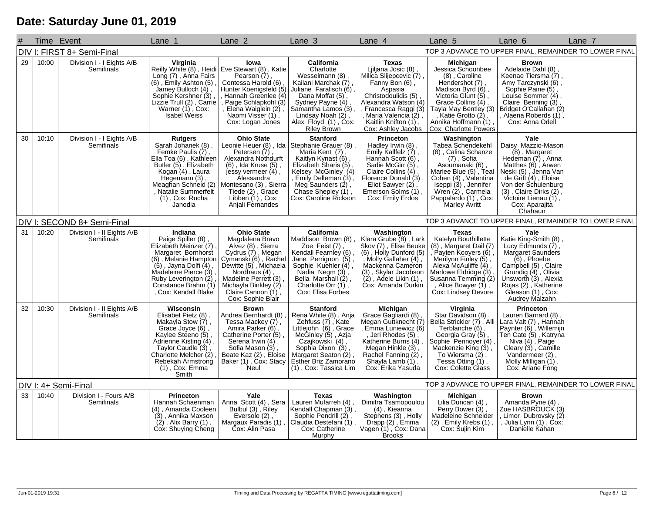## **Date: Saturday June 01, 2019**

|    |       | Time Event                               | Lane 1                                                                                                                                                                                                                         | Lane 2                                                                                                                                                                                                                                                    | Lane 3                                                                                                                                                                                                                        | Lane 4                                                                                                                                                                                                                                 | Lane 5                                                                                                                                                                                                                                | Lane 6                                                                                                                                                                                                                                                | Lane 7 |
|----|-------|------------------------------------------|--------------------------------------------------------------------------------------------------------------------------------------------------------------------------------------------------------------------------------|-----------------------------------------------------------------------------------------------------------------------------------------------------------------------------------------------------------------------------------------------------------|-------------------------------------------------------------------------------------------------------------------------------------------------------------------------------------------------------------------------------|----------------------------------------------------------------------------------------------------------------------------------------------------------------------------------------------------------------------------------------|---------------------------------------------------------------------------------------------------------------------------------------------------------------------------------------------------------------------------------------|-------------------------------------------------------------------------------------------------------------------------------------------------------------------------------------------------------------------------------------------------------|--------|
|    |       | DIV I: FIRST 8+ Semi-Final               |                                                                                                                                                                                                                                |                                                                                                                                                                                                                                                           |                                                                                                                                                                                                                               |                                                                                                                                                                                                                                        |                                                                                                                                                                                                                                       | TOP 3 ADVANCE TO UPPER FINAL, REMAINDER TO LOWER FINAL                                                                                                                                                                                                |        |
| 29 | 10:00 | Division I - I Eights A/B<br>Semifinals  | Virginia<br>Long (7), Anna Fairs<br>$(6)$ , Emily Ashton $(5)$<br>Jamey Bulloch $(4)$ ,<br>Sophie Kershner (3)<br>Lizzie Trull (2), Carrie<br>Warner (1), Cox:<br>Isabel Weiss                                                 | lowa<br>Reilly White (8), Heidi Eve Stewart (8), Katie<br>Pearson (7),<br>Contessa Harold (6)<br>Hunter Koenigsfeld (5)<br>Hannah Greenlee (4)<br>Paige Schlapkohl (3)<br>, Elena Waiglein (2),<br>Naomi Visser (1),<br>Cox: Logan Jones                  | California<br>Charlotte<br>Wesselmann (8)<br>Kailani Marchak (7),<br>Juliane Faralisch (6),<br>Dana Moffat (5)<br>Sydney Payne (4),<br>Samantha Lamos (3),<br>Lindsay Noah (2),<br>Alex Floyd (1), Cox:<br>Riley Brown        | <b>Texas</b><br>Ljiljana Josic (8),<br>Milica Slijepcevic (7)<br>Fanny Bon (6),<br>Aspasia<br>Christodoulidis (5)<br>Alexandra Watson (4)<br>Francesca Raggi (3)<br>, Maria Valencia (2)<br>Kaitlin Knifton (1),<br>Cox: Ashley Jacobs | Michigan<br>Jessica Schoonbee<br>(8), Caroline<br>Hendershot (7),<br>Madison Byrd (6)<br>Victoria Glunt (5),<br>Grace Collins $(4)$ ,<br>Tayla May Bentley (3)<br>, Katie Grotto (2),<br>Annika Hoffmann (1)<br>Cox: Charlotte Powers | <b>Brown</b><br>Adelaide Dahl (8),<br>Keenae Tiersma (7)<br>Amy Tarczynski (6),<br>Sophie Paine (5),<br>Louise Sommer (4)<br>Claire Benning (3)<br>Bridget O'Callahan (2)<br>Alaena Roberds (1)<br>Cox: Anna Odell                                    |        |
| 30 | 10:10 | Division I - I Eights A/B<br>Semifinals  | <b>Rutgers</b><br>Sarah Johanek (8),<br>Femke Paulis (7),<br>Ella Toa (6), Kathleen<br>Butler (5), Elizabeth<br>Kogan (4), Laura<br>Hegemann (3),<br>Meaghan Schneid (2)<br>, Natalie Summerfelt<br>(1), Cox: Rucha<br>Janodia | <b>Ohio State</b><br>Leonie Heuer (8), Ida   Stephanie Grauer (8)<br>Petersen (7),<br>Alexandra Nothdurft<br>(6), Ida Kruse (5),<br>jeśsy vermeer (4),<br>Alessandra<br>Montesano (3), Sierra<br>Tiede (2), Grace<br>Libben (1), Cox:<br>Anjali Fernandes | <b>Stanford</b><br>Maria Kent (7),<br>Kaitlyn Kynast (6),<br>Elizabeth Sharis (5),<br>Kelsey McGinley (4)<br>, Emily Delleman (3),<br>Meg Saunders (2),<br>Chase Shepley (1),<br>Cox: Caroline Rickson                        | Princeton<br>Hadley Irwin (8),<br>Emily Kallfelz (7),<br>Hannah Scott (6),<br>Sadie McGirr (5),<br>Claire Collins (4),<br>Florence Donald (3)<br>Eliot Sawyer (2)<br>Emerson Solms (1)<br>Cox: Emily Erdos                             | Washington<br>Tabea Schendekehl<br>(8), Calina Schanze<br>$(7)$ , Sofia<br>(6), voluma<br>Asoumanaki (6), Teal<br>Cohen (4), Valentina<br>Iseppi (3), Jennifer<br>Wren (2), Carmela<br>Pappalardo (1), Cox:<br>Marley Avritt          | Yale<br>Daisy Mazzio-Mason<br>(8), Margaret<br>Hedeman (7), Anna<br>Matthes (6), Arwen<br>Neski (5), Jenna Van<br>de Grift (4), Eloise<br>Von der Schulenburg<br>$(3)$ , Claire Dirks $(2)$ ,<br>Victoire Lienau $(1)$ ,<br>Cox: Aparajita<br>Chahaun |        |
|    |       | DIV I: SECOND 8+ Semi-Final              |                                                                                                                                                                                                                                |                                                                                                                                                                                                                                                           |                                                                                                                                                                                                                               |                                                                                                                                                                                                                                        |                                                                                                                                                                                                                                       | TOP 3 ADVANCE TO UPPER FINAL, REMAINDER TO LOWER FINAL                                                                                                                                                                                                |        |
| 31 | 10:20 | Division I - II Eights A/B<br>Semifinals | Indiana<br>Paige Spiller (8),<br>Elizabeth Meinzer (7)<br>Margaret Bornhorst<br>(6), Melanie Hampton<br>(5), Jayna Dolfi (4),<br>Madeleine Pierce (3)<br>Ruby Leverington (2)<br>Constance Brahm (1)<br>, Cox: Kendall Blake   | <b>Ohio State</b><br>Magdalena Bravo<br>Alvez (8), Sierra<br>Cydrus (7), Megan<br>Cymanski (6), Rachel<br>Dewitte (5), Michaela<br>Nordhaus (4),<br>Madeline Perrett (3)<br>Michayla Binkley (2),<br>Claire Cannon (1),<br>Cox: Sophie Blair              | <b>California</b><br>Maddison Brown (8)<br>Zoe Feist (7)<br>Kendall Fearnley (6),<br>Jane Perrignon (5),<br>Sophie Kuehler (4),<br>Nadia Negm (3),<br>Bella Marshall (2),<br>Charlotte Orr $(\dot{1})$ ,<br>Cox: Elisa Forbes | <b>Washington</b><br>Klara Grube (8), Lark<br>Skov (7), Elise Beuke<br>(6), Holly Dunford (5)<br>, Molly Gallaher (4),<br>Mackenna Cameron<br>(3), Skylar Jacobson<br>(2), Adele Likin (1),<br>Cox: Amanda Durkin                      | <b>Texas</b><br>Katelyn Bouthillette<br>(8), Margaret Dail (7)<br>, Payten Kooyers (6),<br>Merilynn Finley (5),<br>Alexa McAuliffe (4)<br>Marlowe Eldridge (3),<br>Susanna Temming (2)<br>, Alice Bowyer (1),<br>Cox: Lindsey Devore  | Yale<br>Katie King-Smith (8)<br>Lucy Edmunds (7),<br>Margaret Saunders<br>$(6)$ , Phoebe<br>Campbell (5), Claire<br>Grundig (4), Olivia<br>Unsworth (3), Alexia<br>Rojas (2), Katherine<br>Gleason (1), Cox:<br>Audrey Malzahn                        |        |
| 32 | 10:30 | Division I - II Eights A/B<br>Semifinals | Wisconsin<br>Elisabet Pietz (8),<br>Makayla Stow (7),<br>Grace Joyce (6),<br>Kaylee Steeno (5),<br>Adrienne Kisting (4),<br>Taylor Caudle (3),<br>Charlotte Melcher (2)<br>Rebekah Armstrong<br>(1), Cox: Emma<br>Smith        | <b>Brown</b><br>Andrea Bernhardt (8)<br>Tessa Mackey (7),<br>Amira Parker (6),<br>Catherine Porter (5)<br>Serena Irwin $(4)$ ,<br>Sofia Mason (3),<br>Beate Kaz (2), Eloise<br>Baker (1), Cox: Stacy<br>Neul                                              | <b>Stanford</b><br>Rena White (8), Anja<br>Zehfuss (7), Kate<br>Littlejohn (6), Grace<br>McGinley (5), Azja<br>Czajkowski (4),<br>Sophia Dixon (3),<br>Margaret Seaton (2),<br>Esther Briz Zamorano<br>(1), Cox: Tassica Lim  | Michigan<br>Grace Gagliardi (8),<br>Megan Guttknecht (7)<br>Emma Luniewicz (6)<br>Jeri Rhodes (5)<br>Katherine Burns (4)<br>Megan Hinkle (3),<br>Rachel Fanning (2),<br>Shayla Lamb $(1)$ ,<br>Cox: Erika Yasuda                       | Virginia<br>Star Davidson (8),<br>Bella Strickler (7), Alli<br>Terblanche (6)<br>Georgia Gray (5),<br>Sophie Pennoyer (4),<br>Mackenzie King (3),<br>To Wiersma (2),<br>Tessa Otting (1),<br>Cox: Colette Glass                       | Princeton<br>Lauren Barnard (8)<br>Lara Valt (7), Hannah<br>Paynter (6), Willemijn<br>Ten Cate (5), Katryna<br>Niva (4), Paige<br>Cleary (3), Camille<br>Vandermeer (2),<br>Molly Milligan (1),<br>Cox: Ariane Fong                                   |        |
|    |       | DIV I: 4+ Semi-Final                     |                                                                                                                                                                                                                                |                                                                                                                                                                                                                                                           |                                                                                                                                                                                                                               |                                                                                                                                                                                                                                        |                                                                                                                                                                                                                                       | TOP 3 ADVANCE TO UPPER FINAL, REMAINDER TO LOWER FINAL                                                                                                                                                                                                |        |
| 33 | 10:40 | Division I - Fours A/B<br>Semifinals     | <b>Princeton</b><br>Hannah Schaenman<br>(4), Amanda Cooleen<br>(3), Annika Maxson<br>$(2)$ , Alix Barry $(1)$ ,<br>Cox: Shuying Cheng                                                                                          | Yale<br>Anna Scott (4), Sera<br>Bulbul (3), Riley<br>Eversole (2),<br>Margaux Paradis (1)<br>Cox: Alin Pasa                                                                                                                                               | <b>Texas</b><br>Lauren Mufarreh (4)<br>Kendall Chapman (3)<br>Sophie Pendrill (2)<br>Claudia Destefani (1),<br>Cox: Catherine<br>Murphy                                                                                       | Washington<br>Dimitra Tsamopoulou<br>(4), Kieanna<br>Stephens (3), Holly<br>Drapp (2), Emma<br>Vagen (1), Cox: Dana<br><b>Brooks</b>                                                                                                   | Michigan<br>Lilia Duncan (4),<br>Perry Bower (3),<br>Madeleine Schneider<br>$(2)$ , Emily Krebs $(1)$<br>Cox: Sujin Kim                                                                                                               | <b>Brown</b><br>Amanda Pyne (4)<br>Zoe HASBROUCK (3)<br>, Limor Dubrovsky (2)<br>, Julia Lynn (1) , Ćox:<br>Danielle Kahan                                                                                                                            |        |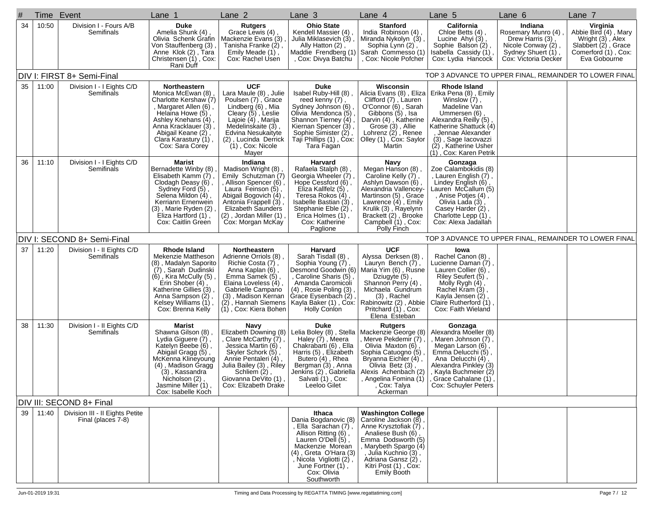| #  | Time Event |                                                       | Lane 1                                                                                                                                                                                                                                 | Lane 2                                                                                                                                                                                                                                   | Lane 3                                                                                                                                                                                                                                               | Lane 4                                                                                                                                                                                                                                | Lane 5                                                                                                                                                                                                                                                            | Lane 6                                                                                                                | Lane 7                                                                                                             |
|----|------------|-------------------------------------------------------|----------------------------------------------------------------------------------------------------------------------------------------------------------------------------------------------------------------------------------------|------------------------------------------------------------------------------------------------------------------------------------------------------------------------------------------------------------------------------------------|------------------------------------------------------------------------------------------------------------------------------------------------------------------------------------------------------------------------------------------------------|---------------------------------------------------------------------------------------------------------------------------------------------------------------------------------------------------------------------------------------|-------------------------------------------------------------------------------------------------------------------------------------------------------------------------------------------------------------------------------------------------------------------|-----------------------------------------------------------------------------------------------------------------------|--------------------------------------------------------------------------------------------------------------------|
| 34 | 10:50      | Division I - Fours A/B<br>Semifinals                  | <b>Duke</b><br>Amelia Shunk (4),<br>Olivia Schenk Grafin<br>Von Stauffenberg (3)<br>Anne Klok (2), Tara<br>Christensen (1), Cox:<br>Rani Duff                                                                                          | <b>Rutgers</b><br>Grace Lewis (4)<br>Mackenzie Evans (3)<br>Tanisha Franke (2),<br>Emily Meade (1),<br>Cox: Rachel Usen                                                                                                                  | <b>Ohio State</b><br>Kendell Massier (4),<br>Julia Miklasevich (3),<br>Ally Hatton (2)<br>Maddie Frendberg (1)<br>, Cox: Divya Batchu                                                                                                                | <b>Stanford</b><br>India Robinson (4).<br>Miranda Nykolyn (3)<br>Sophia Lynn (2)<br>Sarah Commesso (1)<br>Cox: Nicole Pofcher                                                                                                         | California<br>Chloe Betts (4),<br>Lucine Ahyi (3),<br>Sophie Balson (2),<br>Isabella Cassidy (1),<br>Cox: Lydia Hancock                                                                                                                                           | Indiana<br>Rosemary Munro (4)<br>Drew Harris (3),<br>Nicole Conway (2),<br>Sydney Shuert (1),<br>Cox: Víctoria Decker | Virginia<br>Abbie Bird (4), Mary<br>Wright (3), Alex<br>Slabbert (2), Grace<br>Comerford (1), Cox:<br>Eva Gobourne |
|    |            | DIV I: FIRST 8+ Semi-Final                            |                                                                                                                                                                                                                                        |                                                                                                                                                                                                                                          |                                                                                                                                                                                                                                                      |                                                                                                                                                                                                                                       |                                                                                                                                                                                                                                                                   | TOP 3 ADVANCE TO UPPER FINAL, REMAINDER TO LOWER FINAL                                                                |                                                                                                                    |
| 35 | 11:00      | Division I - I Eights C/D<br>Semifinals               | Northeastern<br>Monica McEwan (8)<br>Charlotte Kershaw (7)<br>Margaret Allen (6),<br>Helaina Howe (5),<br>Ashley Knehans (4)<br>Anna Kracklauer (3),<br>Abigail Keane (2),<br>Clara Karastury (1),<br>Cox: Sara Corey                  | <b>UCF</b><br>Lara Maule (8), Julie<br>Poulsen (7), Grace<br>Lindberg (6), Mia<br>Cleary (5), Leslie<br>Lajoie (4), Marija<br>Medelinskaite (3),<br>Edvina Nesukaityte<br>(2), Lucinda Derrick<br>$(1)$ , Cox: Nicole<br>Mayer           | Duke<br>Isabel Ruby-Hill (8),<br>reed kenny (7),<br>Sydney Johnson (6)<br>Olivia Mendonca (5)<br>Shannon Tierney (4)<br>Kiernan Spencer (3),<br>Sophie Simister (2),<br>Taji Phillips (1), Cox:<br>Tara Fagan                                        | Wisconsin<br>Clifford (7), Lauren<br>O'Connor (6), Sarah<br>Gibbons (5), Isa<br>Darvin (4), Katherine<br>Grose (3), Allie<br>Lohrenz $(2)$ , Renee<br>Olley (1), Cox: Saylor<br>Martin                                                | Rhode Island<br>Alicia Evans (8), Eliza   Erika Pena (8), Emily<br>Winslow (7),<br>Madeline Van<br>Ummersen (6),<br>Alexandra Reilly (5)<br>Katherine Shattuck (4)<br>, Jennae Alexander<br>(3), Sage lacovazzi<br>(2), Katherine Usher<br>(1), Cox: Karen Petrik |                                                                                                                       |                                                                                                                    |
| 36 | 11:10      | Division I - I Eights C/D<br>Semifinals               | Marist<br>Bernadette Winby (8)<br>Elisabeth Kamm (7)<br>Clodagh Deasy (6),<br>Sydney Ford (5),<br>Selena Mildon (4),<br>Kerriann Ernenwein<br>(3), Marie Ryden (2)<br>Eliza Hartford (1),<br>Cox: Caitlin Green                        | Indiana<br>Madison Wright (8)<br>Emily Schutzman (7)<br>, Allison Spencer (6),<br>Laura Feinson (5),<br>Abigail Bogovich (4)<br>Antonia Frappell (3),<br><b>Elizabeth Saunders</b><br>$(2)$ , Jordan Miller $(1)$ ,<br>Cox: Morgan McKay | Harvard<br>Rafaela Stalph (8)<br>Georgia Wheeler (7).<br>Hope Cessford (6),<br>Eliza Kallfelz (5),<br>Teresa Rokos (4),<br>Isabelle Bastian (3),<br>Stephanie Eble (2),<br>Erica Holmes (1),<br>Cox: Katherine<br>Paglione                           | Navy<br>Megan Hanson (8)<br>Caroline Kelly (7),<br>Ashlyn Dawson (6),<br>Alexandria Vallencey-<br>Martinson (5), Grace<br>Lawrence $(4)$ , Emily<br>Krulik (3), Rayelynn<br>Brackett (2), Brooke<br>Campbell (1), Cox:<br>Polly Finch | Gonzaga<br>Zoe Calambokidis (8)<br>, Lauren English (7),<br>Lindey English (6),<br>Lauren McCallum (5)<br>, Anise Potjes (4),<br>Olivia Lada (3),<br>Casey Harder (2)<br>Charlotte Lepp (1),<br>Cox: Alexa Jadallah                                               |                                                                                                                       |                                                                                                                    |
|    |            | DIV I: SECOND 8+ Semi-Final                           |                                                                                                                                                                                                                                        |                                                                                                                                                                                                                                          |                                                                                                                                                                                                                                                      |                                                                                                                                                                                                                                       |                                                                                                                                                                                                                                                                   | TOP 3 ADVANCE TO UPPER FINAL, REMAINDER TO LOWER FINAL                                                                |                                                                                                                    |
| 37 | 11:20      | Division I - II Eights C/D<br>Semifinals              | <b>Rhode Island</b><br>Mekenzie Mattheson<br>(8), Madalyn Saporito<br>(7), Sarah Dudinski<br>$(6)$ , Kira McCully $(5)$<br>Erin Shober (4),<br>Katherine Gillies (3)<br>Anna Sampson (2),<br>Kelsey Williams (1),<br>Cox: Brenna Kelly | Northeastern<br>Adrienne Orriols (8),<br>Richie Costa (7),<br>Anna Kaplan (6),<br>Emma Samek (5),<br>Elaina Loveless (4),<br>Gabrielle Campano<br>(3), Madison Kernan<br>(1), Cox: Kiera Bohen                                           | Harvard<br>Sarah Tisdall (8),<br>, Sophia Young (7)<br>Desmond Goodwin (6)<br>, Caroline Sharis (5),<br>Amanda Caromicoli<br>$(4)$ , Rosie Poling $(3)$<br>Grace Eysenbach (2)<br>(2), Hannah Siemens   Kayla Baker (1), Cox:<br><b>Holly Conlon</b> | <b>UCF</b><br>Alyssa Derksen (8),<br>Lauryn Bench (7),<br>Maria Yim (6), Rusne<br>Dziugyte (5),<br>Shannon Perry (4),<br>Michaela Gundrum<br>(3), Rachel<br>Rabinowitz (2), Abbie<br>Pritchard (1), Cox:<br>Elena Esteban             | lowa<br>Rachel Canon (8),<br>Lucienne Daman (7),<br>Lauren Collier (6),<br>Riley Seufert (5),<br>Molly Rygh (4)<br>Rachel Kram (3),<br>Kayla Jensen (2),<br>Claire Rutherford (1).<br>Cox: Faith Wieland                                                          |                                                                                                                       |                                                                                                                    |
| 38 | 11:30      | Division I - II Eights C/D<br>Semifinals              | Marist<br>Shawna Gilson (8)<br>Lydia Giguere (7),<br>Katelyn Beebe (6),<br>Abigail Gragg (5),<br>McKenna Klineyoung<br>(4), Madison Gragg<br>(3), Kassandra<br>Nicholson (2)<br>Jasmine Miller (1)<br>Cox: Isabelle Koch               | Navy<br>Elizabeth Downing (8)<br>, Clare McCarthy (7),<br>Jessica Martin (6),<br>Skyler Schork (5)<br>Annie Pentaleri (4),<br>Julia Bailey (3), Riley<br>Schliem (2),<br>Giovanna DeVito (1)<br>Cox: Elizabeth Drake                     | Duke<br>Lelia Boley (8), Stella<br>Haley (7), Meera<br>Chakrabarti (6), Ella<br>Harris (5), Elizabeth<br>Butero (4), Rhea<br>Bergman (3), Anna<br>Jenkins (2) , Gabriella  <br>Salvati (1) . Cox:<br>Leeloo Gilet                                    | <b>Rutgers</b><br>Mackenzie George (8)<br>Merve Pekdemir (7)<br>Olivia Maxton (6),<br>Sophia Catuogno (5)<br>Bryanna Eichler (4),<br>Olivia Betz (3),<br>Alexis Achenbach (2)<br>, Angelina Fomina (1)  <br>Cox: Talya<br>Ackerman    | Gonzaga<br>Alexandra Moeller (8)<br>, Maren Johnson (7) ,<br>Megan Larson $(6)$ ,<br>Emma Delucchi (5),<br>Ana Delucchi (4),<br>Alexandra Pinkley (3)<br>, Kayla Buchmeier (2)<br>, Grace Cahalane (1),<br>Cox: Schuyler Peters                                   |                                                                                                                       |                                                                                                                    |
|    |            | DIV III: SECOND 8+ Final                              |                                                                                                                                                                                                                                        |                                                                                                                                                                                                                                          |                                                                                                                                                                                                                                                      |                                                                                                                                                                                                                                       |                                                                                                                                                                                                                                                                   |                                                                                                                       |                                                                                                                    |
| 39 | 11:40      | Division III - II Eights Petite<br>Final (places 7-8) |                                                                                                                                                                                                                                        |                                                                                                                                                                                                                                          | Ithaca<br>Dania Bogdanovic (8)<br>, Ella Sarachan (7),<br>Allison Ritting (6),<br>Lauren O'Dell (5),<br>Mackenzie Morean<br>(4), Greta O'Hara (3), Nicola Vigliotti (2),<br>June Fortner (1),<br>Cox: Olivia<br>Southworth                           | <b>Washington College</b><br>Caroline Jackson (8),<br>Anne Krysztofiak (7),<br>Analiese Bush (6),<br>Emma Dodsworth (5)<br>Marybeth Spargo (4)<br>, Julia Kuchnio (3),<br>Adriana Gansz (2),<br>Kitri Post (1), Cox:<br>Emily Booth   |                                                                                                                                                                                                                                                                   |                                                                                                                       |                                                                                                                    |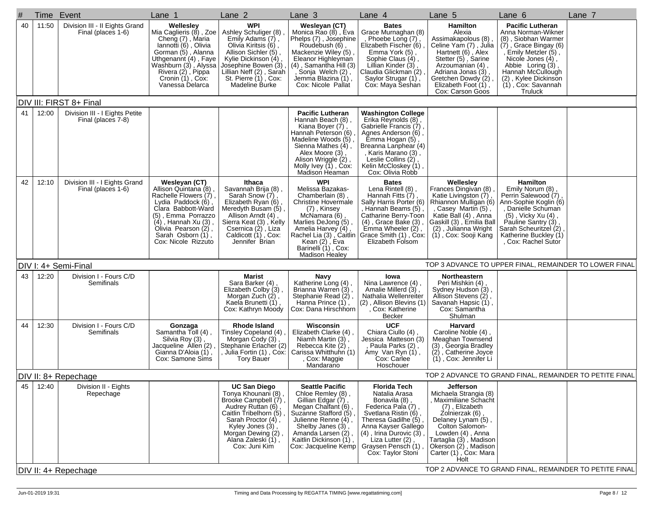| # |    |       | Time Event                                           | Lane 1                                                                                                                                                                                                                      | Lane 2                                                                                                                                                                                                                      | Lane 3                                                                                                                                                                                                                                               | Lane 4                                                                                                                                                                                                                                             | Lane 5                                                                                                                                                                                                                                                  | Lane 6                                                                                                                                                                                                                                             | Lane 7                                                  |
|---|----|-------|------------------------------------------------------|-----------------------------------------------------------------------------------------------------------------------------------------------------------------------------------------------------------------------------|-----------------------------------------------------------------------------------------------------------------------------------------------------------------------------------------------------------------------------|------------------------------------------------------------------------------------------------------------------------------------------------------------------------------------------------------------------------------------------------------|----------------------------------------------------------------------------------------------------------------------------------------------------------------------------------------------------------------------------------------------------|---------------------------------------------------------------------------------------------------------------------------------------------------------------------------------------------------------------------------------------------------------|----------------------------------------------------------------------------------------------------------------------------------------------------------------------------------------------------------------------------------------------------|---------------------------------------------------------|
|   | 40 | 11:50 | Division III - II Eights Grand<br>Final (places 1-6) | Wellesley<br>Mia Caglieris (8), Zoe<br>Cheng (7), Maria<br>Iannotti (6), Olivia<br>Gorman (5), Alanna<br>Uthgenannt (4), Faye<br>Washburn (3), Alyssa<br>Rivera (2), Pippa<br>Cronin (1), Cox:<br>Vanessa Delarca           | <b>WPI</b><br>Ashley Schuliger (8)<br>Emily Adams (7),<br>Olivia Kiritsis (6),<br>Allison Sichler (5),<br>Kylie Dickinson (4),<br>Josephine Bowen (3),<br>Lillian Neff (2), Sarah<br>St. Pierre (1), Cox:<br>Madeline Burke | Wesleyan (CT)<br>Monica Rao (8), Eva<br>Phelps (7), Josephine<br>Roudebush (6)<br>Mackenzie Wiley (5)<br>Eleanor Highleyman<br>$(4)$ , Samantha Hill $(3)$<br>Sonja Welch (2),<br>Jemma Blazina (1),<br>Cox: Nicole Pallat                           | <b>Bates</b><br>Grace Murnaghan (8)<br>, Phoebe Long (7),<br>Elizabeth Fischer (6)<br>Emma York (5),<br>Sophie Claus (4),<br>Lillian Kinder (3),<br>Claudia Glickman (2)<br>Saylor Strugar (1),<br>Cox: Maya Seshan                                | Hamilton<br>Alexia<br>Assimakapolous (8),<br>Celine Yam (7), Julia<br>Hartnett (6), Alex<br>Stetter (5), Sarine<br>Arzoumanian (4),<br>Adriana Jonas (3)<br>Gretchen Dowdy (2),<br>Elizabeth Foot (1),<br>Cox: Carson Goos                              | <b>Pacific Lutheran</b><br>Anna Norman-Wikner<br>(8), Siobhan Warmer<br>$(7)$ , Grace Bingay $(6)$<br>, Emily Metzler (5),<br>Nicole Jones (4),<br>Abbie Loring (3),<br>Hannah McCullough<br>(2), Kylee Dickinson<br>(1), Cox: Savannah<br>Truluck |                                                         |
|   |    |       | DIV III: FIRST 8+ Final                              |                                                                                                                                                                                                                             |                                                                                                                                                                                                                             |                                                                                                                                                                                                                                                      |                                                                                                                                                                                                                                                    |                                                                                                                                                                                                                                                         |                                                                                                                                                                                                                                                    |                                                         |
|   | 41 | 12:00 | Division III - I Eights Petite<br>Final (places 7-8) |                                                                                                                                                                                                                             |                                                                                                                                                                                                                             | <b>Pacific Lutheran</b><br>Hannah Beach (8),<br>Kiana Boyer (7),<br>Hannah Peterson (6)<br>Madeline Woods (5)<br>Sienna Mathes $(4)$ ,<br>Alex Moore (3)<br>Alison Wriggle (2),<br>Molly Ivey (1), Cox:<br>Madison Heaman                            | <b>Washington College</b><br>Erika Reynolds (8),<br>Gabrielle Francis (7)<br>Agnes Anderson (6),<br>Emma Hogan (5)<br>Breanna Lanphear (4)<br>, Karis Marano (3),<br>Leslie Collins (2),<br>Kelin McCloskey (1)<br>Cox: Olivia Robb                |                                                                                                                                                                                                                                                         |                                                                                                                                                                                                                                                    |                                                         |
|   | 42 | 12:10 | Division III - I Eights Grand<br>Final (places 1-6)  | Wesleyan (CT)<br>Allison Quintana (8),<br>Rachelle Flowers (7),<br>Lydia Paddock (6),<br>Clara Babbott-Ward<br>(5), Emma Porrazzo<br>(4), Hannah Xu (3),<br>Olivia Pearson (2),<br>Sarah Osborn (1),<br>Cox: Nicole Rizzuto | Ithaca<br>Savannah Brija (8),<br>Sarah Snow (7),<br>Elizabeth Ryan (6)<br>Meredyth Busam (5),<br>Allison Arndt (4),<br>Sierra Keat (3), Kelly<br>Csernica (2), Liza<br>Caldicott (1), Cox:<br>Jennifer Brian                | <b>WPI</b><br>Melissa Bazakas-<br>Chamberlain (8),<br><b>Christine Hovermale</b><br>(7), Kinsey<br>McNamara (6)<br>Marlies DeJong (5),<br>Amelia Harvey (4),<br>Rachel Lia (3), Caitlin<br>Kean $(2)$ , Eva<br>Barinelli (1), Cox:<br>Madison Healey | <b>Bates</b><br>Lena Rintell (8),<br>Hannah Fitts $(7)$ ,<br>Sally Harris Porter (6)<br>Hannah Beams (5)<br>Catharine Berry-Toon<br>$(4)$ , Grace Bake $(3)$ ,<br>Emma Wheeler (2),<br>Grace Smith (1), Cox:<br>Elizabeth Folsom                   | Wellesley<br>Frances Dingivan (8)<br>Katie Livingston (7),<br>Rhiannon Mulligan (6)<br>, Casey Martin (5),<br>Katie Ball (4), Anna<br> Gaskill (3) , Emilia Ball<br>(2), Julianna Wright<br>(1), Cox: Sooji Kang                                        | <b>Hamilton</b><br>Emily Norum (8),<br>Perrin Salewood (7)<br>Ann-Sophie Koglin (6)<br>, Danielle Schuman<br>(5), Vicky Xu (4),<br>Pauline Santry (3),<br>Sarah Scheuritzel (2)<br>Katherine Buckley (1)<br>, Cox: Rachel Sutor                    |                                                         |
|   |    |       | DIV I: 4+ Semi-Final                                 |                                                                                                                                                                                                                             |                                                                                                                                                                                                                             |                                                                                                                                                                                                                                                      |                                                                                                                                                                                                                                                    |                                                                                                                                                                                                                                                         |                                                                                                                                                                                                                                                    | TOP 3 ADVANCE TO UPPER FINAL, REMAINDER TO LOWER FINAL  |
|   | 43 | 12:20 | Division I - Fours C/D<br>Semifinals                 |                                                                                                                                                                                                                             | Marist<br>Sara Barker (4),<br>Elizabeth Colby (3),<br>Morgan Zuch $(2)$ ,<br>Kaela Brunetti (1),<br>Cox: Kathryn Moody                                                                                                      | Navy<br>Katherine Long (4),<br>Brianna Warren (3),<br>Stephanie Read (2),<br>Hanna Prince (1),<br>Cox: Dana Hirschhorn                                                                                                                               | lowa<br>Nina Lawrence (4),<br>Amalie Millerd (3),<br>Nathalia Wellenreiter<br>(2), Allison Blevins (1)<br>, Cox: Katherine<br>Becker                                                                                                               | Northeastern<br>Peri Mishkin (4),<br>Sydney Hudson (3),<br>Allison Stevens (2),<br>Savanah Hapsic (1),<br>Cox: Samantha<br>Shulman                                                                                                                      |                                                                                                                                                                                                                                                    |                                                         |
|   | 44 | 12:30 | Division I - Fours C/D<br>Semifinals                 | Gonzaga<br>Samantha Toll (4),<br>Silvia Roy (3), Jacqueline Allen (2),<br>Gianna D'Aloia (1),<br>Cox: Samone Sims                                                                                                           | Rhode Island<br>Tinsley Copeland (4),<br>Morgan Cody (3),<br>Stephanie Erlacher (2)<br>, Julia Fortin (1) , Cox:<br><b>Tory Bauer</b>                                                                                       | Wisconsin<br>Elizabeth Clarke (4),<br>Niamh Martin (3),<br>Rebecca Kite (2)<br>Carissa Whitthuhn (1)<br>Cox: Maggie<br>Mandarano                                                                                                                     | <b>UCF</b><br>Chiara Ciullo (4),<br>Jessica Matteson (3)<br>Paula Parks (2),<br>Amy Van Ryn (1),<br>Cox: Carlee<br>Hoschouer                                                                                                                       | <b>Harvard</b><br>Caroline Noble (4),<br>Meaghan Townsend<br>(3), Georgia Bradley<br>(2), Catherine Joyce<br>(1), Cox: Jennifer Li                                                                                                                      |                                                                                                                                                                                                                                                    |                                                         |
|   |    |       | DIV II: 8+ Repechage                                 |                                                                                                                                                                                                                             |                                                                                                                                                                                                                             |                                                                                                                                                                                                                                                      |                                                                                                                                                                                                                                                    |                                                                                                                                                                                                                                                         |                                                                                                                                                                                                                                                    | TOP 2 ADVANCE TO GRAND FINAL. REMAINDER TO PETITE FINAL |
|   | 45 | 12:40 | Division II - Eights<br>Repechage                    |                                                                                                                                                                                                                             | <b>UC San Diego</b><br>Tonya Khounani (8),<br>Brooke Campbell (7),<br>Audrey Ruttan (6)<br>Caitlin Tribelhorn (5),<br>Sarah Proctor (4),<br>Kyley Jones (3),<br>Morgan Dewing (2),<br>Alana Zaleski (1),<br>Cox: Juni Kim   | <b>Seattle Pacific</b><br>Chloe Remley (8),<br>Gillian Edgar (7),<br>Megan Chalfant (6)<br>Suzanne Stafford (5)<br>Julienne Renne (4),<br>Shelby Janes (3)<br>Amanda Larsen (2),<br>Kaitlin Dickinson (1),<br>Cox: Jacqueline Kemp                   | <b>Florida Tech</b><br>Natalia Arasa<br>Bonavila (8),<br>Federica Pala (7),<br>Svetlana Ristin (6),<br>Theresa Gadilhe (5).<br>Anna Kayser Gallego<br>$(4)$ , Irina Durovic $(3)$ ,<br>Liza Lutter (2),<br>Graysen Pensch (1)<br>Cox: Taylor Stoni | <b>Jefferson</b><br>Michaela Strangia (8)<br>, Maximiliane Schacht<br>(7), Elizabeth<br>Zolnierzak (6)<br>Delaney Lynam (5),<br>Colton Salomon-<br>Lowden (4), Anna<br>Tartaglia (3) , Madison<br>Okerson (2), Madison<br>Carter (1), Cox: Mara<br>Holt |                                                                                                                                                                                                                                                    | TOP 2 ADVANCE TO GRAND FINAL, REMAINDER TO PETITE FINAL |
|   |    |       | DIV II: 4+ Repechage                                 |                                                                                                                                                                                                                             |                                                                                                                                                                                                                             |                                                                                                                                                                                                                                                      |                                                                                                                                                                                                                                                    |                                                                                                                                                                                                                                                         |                                                                                                                                                                                                                                                    |                                                         |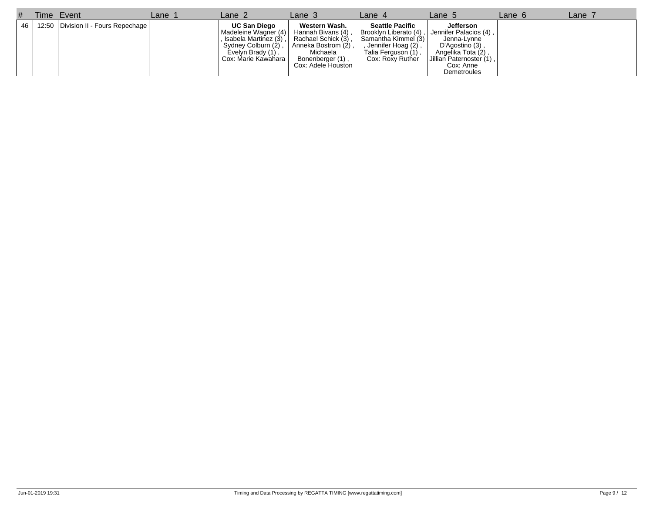| # | Time Event                                 | Lane <sub>7</sub> | Lane 2                                                                                                                                  | Lane $3$                                                                                   | Lane 4                                                                                                                                                                                                      | Lane 5                                                                                                                      | Lane 6 | Lane $\overline{a}$ |
|---|--------------------------------------------|-------------------|-----------------------------------------------------------------------------------------------------------------------------------------|--------------------------------------------------------------------------------------------|-------------------------------------------------------------------------------------------------------------------------------------------------------------------------------------------------------------|-----------------------------------------------------------------------------------------------------------------------------|--------|---------------------|
|   | 46   12:50   Division II - Fours Repechage |                   | <b>UC San Diego</b><br>  Madeleine Wagner (4)   Hannah Bivans (4),<br>Sydney Colburn (2),<br>Evelyn Brady (1),<br>Cox: Marie Kawahara I | Western Wash.<br>Anneka Bostrom (2),<br>Michaela<br>Bonenberger (1),<br>Cox: Adele Houston | <b>Seattle Pacific</b><br>Brooklyn Liberato (4), Jennifer Palacios (4),<br>Isabela Martinez (3), Rachael Schick (3), Samantha Kimmel (3)<br>, Jennifer Hoag (2),<br>Talia Ferguson (1),<br>Cox: Roxy Ruther | Jefferson<br>Jenna-Lynne<br>$D'Agostino(3)$ ,<br>Angelika Tota (2),<br>Jillian Paternoster (1),<br>Cox: Anne<br>Demetroules |        |                     |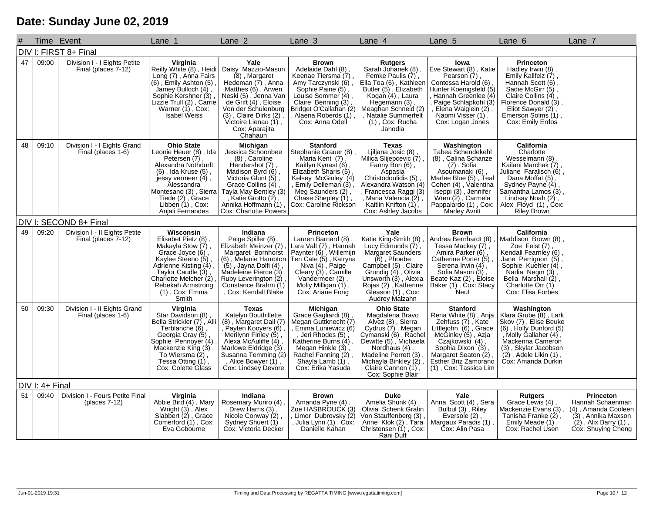## **Date: Sunday June 02, 2019**

|    | Time Event      |                                                      | Lane 1                                                                                                                                                                                                                                  | Lane 2                                                                                                                                                                                                                                             | Lane 3                                                                                                                                                                                                                                             | Lane 4                                                                                                                                                                                                                                       | Lane 5                                                                                                                                                                                                                                   | Lane 6                                                                                                                                                                                                                           | Lane 7                                                                                                                                |
|----|-----------------|------------------------------------------------------|-----------------------------------------------------------------------------------------------------------------------------------------------------------------------------------------------------------------------------------------|----------------------------------------------------------------------------------------------------------------------------------------------------------------------------------------------------------------------------------------------------|----------------------------------------------------------------------------------------------------------------------------------------------------------------------------------------------------------------------------------------------------|----------------------------------------------------------------------------------------------------------------------------------------------------------------------------------------------------------------------------------------------|------------------------------------------------------------------------------------------------------------------------------------------------------------------------------------------------------------------------------------------|----------------------------------------------------------------------------------------------------------------------------------------------------------------------------------------------------------------------------------|---------------------------------------------------------------------------------------------------------------------------------------|
|    |                 | DIV I: FIRST 8+ Final                                |                                                                                                                                                                                                                                         |                                                                                                                                                                                                                                                    |                                                                                                                                                                                                                                                    |                                                                                                                                                                                                                                              |                                                                                                                                                                                                                                          |                                                                                                                                                                                                                                  |                                                                                                                                       |
| 47 | 09:00           | Division I - I Eights Petite<br>Final (places 7-12)  | Virginia<br>Reilly White (8), Heidi<br>Long (7), Anna Fairs<br>$(6)$ , Emily Ashton $(5)$<br>Jamey Bulloch $(4)$ ,<br>Sophie Kershner (3)<br>Lizzie Trull (2), Carrie<br>Warner (1), Cox:<br><b>Isabel Weiss</b>                        | Yale<br>Daisy Mazzio-Mason<br>(8), Margaret<br>Hedeman (7), Anna<br>Matthes (6), Arwen<br>Neski (5), Jenna Van<br>de Grift (4), Eloise<br>Von der Schulenburg<br>$(3)$ , Claire Dirks $(2)$ ,<br>Victoire Lienau (1),<br>Cox: Aparajita<br>Chahaun | <b>Brown</b><br>Adelaide Dahl (8)<br>Keenae Tiersma (7),<br>Amy Tarczynski (6),<br>Sophie Paine (5)<br>Louise Sommer (4),<br>Claire Benning $(3)$ ,<br>Bridget O'Callahan (2)<br>, Alaena Roberds (1)<br>Cox: Anna Odell                           | <b>Rutgers</b><br>Sarah Johanek (8),<br>Femke Paulis (7),<br>Ella Toa (6), Kathleen<br>Butler (5), Elizabeth<br>Kogan (4), Laura<br>Hegemann (3),<br>Meaghan Schneid (2)<br>, Natalie Summerfelt<br>$(1)$ , Cox: Rucha<br>Janodia            | Iowa<br>Eve Stewart (8), Katie<br>Pearson (7)<br>Contessa Harold (6)<br>Hunter Koenigsfeld (5)<br>Hannah Greenlee (4)<br>Paige Schlapkohl (3)<br>, Elena Waigİein (2)<br>Naomi Visser (1),<br>Cox: Logan Jones                           | <b>Princeton</b><br>Hadley Irwin (8),<br>Emily Kallfelz (7),<br>Hannah Scott (6),<br>Sadie McGirr (5),<br>Claire Collins (4),<br>Florence Donald (3)<br>Eliot Sawyer (2),<br>Emerson Solms (1)<br>Cox: Emily Erdos               |                                                                                                                                       |
| 48 | 09:10           | Division I - I Eights Grand<br>Final (places 1-6)    | <b>Ohio State</b><br>Leonie Heuer (8), Ida<br>Petersen (7)<br>Alexandra Nothdurft<br>$(6)$ , Ida Kruse $(5)$ ,<br>jessy vermeer (4),<br>Alessandra<br>Montesano (3), Sierra<br>Tiede (2), Grace<br>Libben (1), Cox:<br>Anjali Fernandes | Michigan<br>Jessica Schoonbee<br>(8), Caroline<br>Hendershot (7)<br>Madison Byrd (6),<br>Victoria Glunt (5),<br>Grace Collins (4),<br>Tayla May Bentley (3)<br>, Katie Grotto (2),<br>Annika Hoffmann (1),<br>Cox: Charlotte Powers                | <b>Stanford</b><br>Stephanie Grauer (8)<br>Maria Kent (7)<br>Kaitlyn Kynast (6),<br>Elizabeth Sharis (5)<br>Kelsey McGinley (4)<br>, Emily Delleman (3)<br>Meg Saunders (2),<br>Chase Shepley (1),<br>Cox: Caroline Rickson                        | <b>Texas</b><br>Ljiljana Josic (8),<br>Milica Slijepcevic (7)<br>Fanny Bon (6),<br>Aspasia<br>Christodoulidis (5)<br>Alexandra Watson (4)<br>Francesca Raggi (3)<br>, Maria Valencia (2),<br>Kaitlin Knifton (1),<br>Cox: Ashley Jacobs      | Washington<br>Tabea Schendekehl<br>(8), Calina Schanze<br>(7), Sofia<br>Asoumanaki (6),<br>Marlee Blue (5), Teal<br>Cohen (4), Valentina<br>Iseppi (3), Jennifer<br>Wren $(2)$ , Carmela<br>Pappalardo (1), Cox:<br><b>Marley Avritt</b> | <b>California</b><br>Charlotte<br>Wesselmann (8)<br>Kailani Marchak (7)<br>Juliane Faralisch (6)<br>Dana Moffat (5)<br>Sydney Payne (4)<br>Samantha Lamos (3)<br>Lindsay Noah (2),<br>Alex Floyd (1), Cox:<br><b>Riley Brown</b> |                                                                                                                                       |
|    |                 | DIV I: SECOND 8+ Final                               |                                                                                                                                                                                                                                         |                                                                                                                                                                                                                                                    |                                                                                                                                                                                                                                                    |                                                                                                                                                                                                                                              |                                                                                                                                                                                                                                          |                                                                                                                                                                                                                                  |                                                                                                                                       |
| 49 | 09:20           | Division I - II Eights Petite<br>Final (places 7-12) | Wisconsin<br>Elisabet Pietz (8),<br>Makayla Stow (7),<br>Grace Joyce (6),<br>Kaylee Steeno (5)<br>Adrienne Kisting (4)<br>Taylor Caudle (3)<br>Charlotte Melcher (2)<br>Rebekah Armstrong<br>(1), Cox: Emma<br>Smith                    | Indiana<br>Paige Spiller (8)<br>Elizabeth Meinzer (7)<br>Margaret Bornhorst<br>$(5)$ , Jayna Dolfi $(4)$ ,<br>Madeleine Pierce $(3)$<br>Ruby Leverington (2),<br>Constance Brahm (1)<br>, Cox: Kendall Blake                                       | <b>Princeton</b><br>Lauren Barnard (8),<br>Lara Valt (7), Hannah<br>Paynter (6), Willemijn<br>(6), Melanie Hampton   Ten Cate (5), Katryna<br>Niva (4), Paige<br>Cleary (3), Camille<br>Vandermeer (2),<br>Molly Milligan (1),<br>Cox: Ariane Fong | Yale<br>Katie King-Smith (8),<br>Lucy Edmunds (7),<br>Margaret Saunders<br>$(6)$ , Phoebe<br>Campbell (5), Claire<br>Grundig (4), Olivia<br>Unsworth (3), Alexia<br>Rojas (2), Katherine<br>Gleason (1), Cox:<br>Audrey Malzahn              | <b>Brown</b><br>Andrea Bernhardt (8)<br>Tessa Mackey (7),<br>Amira Parker (6),<br>Catherine Porter (5)<br>Serena Irwin (4),<br>Sofia Mason (3),<br>Beate Kaz (2), Eloise<br>Baker (1), Cox: Stacy<br>Neul                                | California<br>Maddison Brown (8)<br>Zoe Feist (7)<br>Kendall Fearnley (6)<br>Jane Perrignon (5)<br>Sophie Kuehler (4),<br>Nadia Negm (3),<br>Bella Marshall (2),<br>Charlotte Orr (1),<br>Cox: Elisa Forbes                      |                                                                                                                                       |
| 50 | 09:30           | Division I - II Eights Grand<br>Final (places 1-6)   | Virginia<br>Star Davidson (8)<br>Bella Strickler (7), Alli<br>Terblanche (6)<br>Georgia Gray (5)<br>Sophie Pennoyer (4)<br>Mackenzie King (3)<br>To Wiersma (2),<br>Tessa Otting (1),<br>Cox: Colette Glass                             | <b>Texas</b><br>Katelyn Bouthillette<br>(8), Margaret Dail (7)<br>Payten Kooyers (6)<br>Merilynn Finley (5),<br>Alexa McAuliffe (4),<br>Marlowe Eldridge (3)<br>Susanna Temming (2)<br>, Alice Bowyer (1),<br>Cox: Lindsey Devore                  | Michigan<br>Grace Gagliardi (8),<br>Megan Guttknecht (7)<br>Emma Luniewicz (6)<br>, Jeri Rhodes (5)<br>Katherine Burns (4),<br>Megan Hinkle (3),<br>Rachel Fanning (2),<br>Shayla Lamb (1),<br>Cox: Erika Yasuda                                   | <b>Ohio State</b><br>Magdalena Bravo<br>Alvez (8), Sierra<br>Cydrus (7), Megan<br>Cymanski (6), Rachel<br>Dewitte (5), Michaela<br>Nordhaus (4)<br>Madeline Perrett (3),<br>Michayla Binkley (2),<br>Claire Cannon (1),<br>Cox: Sophie Blair | <b>Stanford</b><br>Rena White (8), Anja<br>Zehfuss (7), Kate<br>Littlejohn (6), Grace<br>McGinley (5), Azja<br>Czajkowski (4),<br>Sophia Dixon (3)<br>Margaret Seaton (2)<br>Esther Briz Zamorano<br>(1), Cox: Tassica Lim               | Washington<br>Klara Grube (8), Lark<br>Skov (7), Elise Beuke<br>$(6)$ , Holly Dunford $(5)$<br>,Molly Gallaher (4),<br>Mackenna Cameron<br>(3), Skylar Jacobson<br>(2), Adele Likin (1),<br>Cox: Amanda Durkin                   |                                                                                                                                       |
|    | DIV I: 4+ Final |                                                      |                                                                                                                                                                                                                                         |                                                                                                                                                                                                                                                    |                                                                                                                                                                                                                                                    |                                                                                                                                                                                                                                              |                                                                                                                                                                                                                                          |                                                                                                                                                                                                                                  |                                                                                                                                       |
| 51 | 09:40           | Division I - Fours Petite Final<br>$(places 7-12)$   | Virginia<br>Abbie Bird (4), Mary<br>Wright (3), Alex<br>Slabbert (2), Grace<br>Comerford (1), Cox:<br>Eva Gobourne                                                                                                                      | Indiana<br>Rosemary Munro (4)<br>Drew Harris (3)<br>Nicole Conway (2),<br>Sydney Shuert (1),<br>Cox: Victoria Decker                                                                                                                               | <b>Brown</b><br>Amanda Pyne (4)<br>Zoe HASBROUCK (3)<br>, Limor Dubrovsky (2)<br>, Julia Lynn (1) , Cox:<br>Danielle Kahan                                                                                                                         | <b>Duke</b><br>Amelia Shunk (4)<br>Olivia Schenk Grafin<br>Von Stauffenberg (3),<br>Anne Klok (2), Tara<br>Christensen (1), Cox:<br>Rani Duff                                                                                                | Yale<br>Anna Scott (4), Sera<br>Bulbul (3), Riley<br>Eversole (2),<br>Margaux Paradis (1)<br>Cox: Alin Pasa                                                                                                                              | <b>Rutgers</b><br>Grace Lewis (4)<br>Mackenzie Evans (3)<br>Tanisha Franke (2),<br>Emily Meade (1),<br>Cox: Rachel Usen                                                                                                          | <b>Princeton</b><br>Hannah Schaenman<br>(4), Amanda Cooleen<br>(3), Annika Maxson<br>$(2)$ , Alix Barry $(1)$ ,<br>Cox: Shuying Cheng |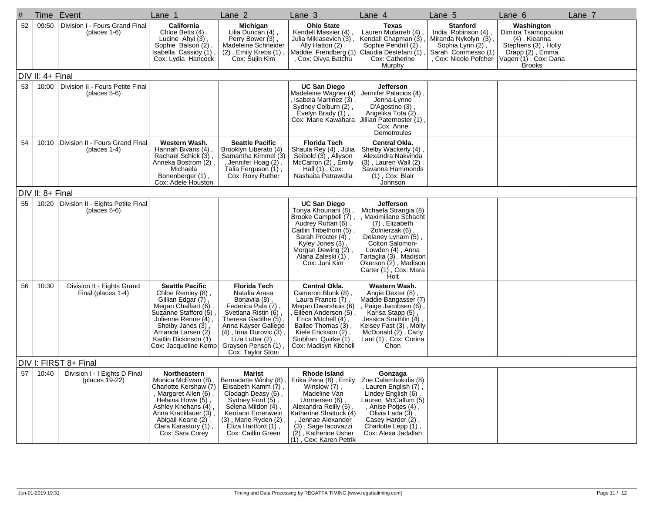| #  |                  | Time Event                                           | Lane 1                                                                                                                                                                                                                               | Lane 2                                                                                                                                                                                                                                            | Lane <sub>3</sub>                                                                                                                                                                                                                                 | Lane 4                                                                                                                                                                                                                                                 | Lane 5                                                                                                                        | Lane 6                                                                                                                               | Lane 7 |
|----|------------------|------------------------------------------------------|--------------------------------------------------------------------------------------------------------------------------------------------------------------------------------------------------------------------------------------|---------------------------------------------------------------------------------------------------------------------------------------------------------------------------------------------------------------------------------------------------|---------------------------------------------------------------------------------------------------------------------------------------------------------------------------------------------------------------------------------------------------|--------------------------------------------------------------------------------------------------------------------------------------------------------------------------------------------------------------------------------------------------------|-------------------------------------------------------------------------------------------------------------------------------|--------------------------------------------------------------------------------------------------------------------------------------|--------|
| 52 | 09:50            | Division I - Fours Grand Final<br>(places $1-6$ )    | California<br>Chloe Betts (4),<br>Lucine Ahyi (3),<br>Sophie Balson (2),<br>Isabella Cassidy (1),<br>Cox: Lydia Hancock                                                                                                              | Michigan<br>Lilia Duncan (4),<br>Perry Bower (3),<br>Madeleine Schneider<br>$(2)$ , Emily Krebs $(1)$ ,<br>Cox: Sujin Kim                                                                                                                         | <b>Ohio State</b><br>Kendell Massier (4)<br>Julia Miklasevich (3)<br>Ally Hatton (2),<br>Maddie Frendberg (1)<br>, Cox: Divya Batchu                                                                                                              | <b>Texas</b><br>Lauren Mufarreh (4)<br>Kendall Chapman (3)<br>Sophie Pendrill (2)<br>Claudia Destefani (1)<br>Cox: Catherine<br>Murphy                                                                                                                 | <b>Stanford</b><br>India Robinson (4)<br>Miranda Nykolyn (3),<br>Sophia Lynn (2)<br>Sarah Commesso (1)<br>Cox: Nicole Pofcher | Washington<br>Dimitra Tsamopoulou<br>(4), Kieanna<br>Stephens (3), Holly<br>Drapp (2), Emma<br>Vagen (1), Cox: Dana<br><b>Brooks</b> |        |
|    | DIV II: 4+ Final |                                                      |                                                                                                                                                                                                                                      |                                                                                                                                                                                                                                                   |                                                                                                                                                                                                                                                   |                                                                                                                                                                                                                                                        |                                                                                                                               |                                                                                                                                      |        |
| 53 | 10:00            | Division II - Fours Petite Final<br>(places $5-6$ )  |                                                                                                                                                                                                                                      |                                                                                                                                                                                                                                                   | <b>UC San Diego</b><br>Madeleine Wagner (4)<br>Isabela Martinez (3),<br>Sydney Colburn (2),<br>Evelyn Brady (1),<br>Cox: Marie Kawahara                                                                                                           | Jefferson<br>Jennifer Palacios (4)<br>Jenna-Lynne<br>D'Agostino (3)<br>Angelika Tota (2)<br>Jillian Paternoster (1)<br>Cox: Anne<br>Demetroules                                                                                                        |                                                                                                                               |                                                                                                                                      |        |
| 54 | 10:10            | Division II - Fours Grand Final<br>(places $1-4$ )   | Western Wash.<br>Hannah Bivans (4),<br>Rachael Schick (3),<br>Anneka Bostrom (2),<br>Michaela<br>Bonenberger (1),<br>Cox: Adele Houston                                                                                              | <b>Seattle Pacific</b><br>Brooklyn Liberato (4),<br>Samantha Kimmel (3)<br>, Jennifer Hoag (2),<br>Talia Ferguson (1),<br>Cox: Roxy Ruther                                                                                                        | <b>Florida Tech</b><br>Shaula Rey (4), Julia<br>Seibold (3), Allyson<br>McCarron (2), Emily<br>Hall $(1)$ , Cox:<br>Nashaita Patrawalla                                                                                                           | Central Okla.<br>Shelby Wackerly (4)<br>Alexandra Nakvinda<br>$(3)$ , Lauren Wall $(2)$<br>Savanna Hammonds<br>(1), Cox: Blair<br>Johnson                                                                                                              |                                                                                                                               |                                                                                                                                      |        |
|    | DIV II: 8+ Final |                                                      |                                                                                                                                                                                                                                      |                                                                                                                                                                                                                                                   |                                                                                                                                                                                                                                                   |                                                                                                                                                                                                                                                        |                                                                                                                               |                                                                                                                                      |        |
| 55 | 10:20            | Division II - Eights Petite Final<br>(places $5-6$ ) |                                                                                                                                                                                                                                      |                                                                                                                                                                                                                                                   | <b>UC San Diego</b><br>Tonya Khounani (8)<br>Brooke Campbell (7)<br>Audrey Ruttan (6),<br>Caitlin Tribelhorn (5)<br>Sarah Proctor (4),<br>Kyley Jones (3),<br>Morgan Dewing (2),<br>Alana Zaleski (1),<br>Cox: Juni Kim                           | <b>Jefferson</b><br>Michaela Strangia (8)<br>, Maximiliane Schacht<br>(7), Elizabeth<br>Zolnierzak (6)<br>Delaney Lynam (5),<br>Colton Salomon-<br>Lowden (4), Anna<br>Tartaglia (3), Madison<br>Okerson (2), Madison<br>Carter (1), Cox: Mara<br>Holt |                                                                                                                               |                                                                                                                                      |        |
| 56 | 10:30            | Division II - Eights Grand<br>Final (places 1-4)     | <b>Seattle Pacific</b><br>Chloe Remley (8),<br>Gillian Edgar (7),<br>Megan Chalfant (6)<br>Suzanne Stafford (5),<br>Julienne Renne (4),<br>Shelby Janes (3),<br>Amanda Larsen (2),<br>Kaitlin Dickinson (1),<br>Cox: Jacqueline Kemp | <b>Florida Tech</b><br>Natalia Arasa<br>Bonavila (8),<br>Federica Pala (7)<br>Svetlana Ristin (6),<br>Theresa Gadilhe (5),<br>Anna Kayser Gallego<br>$(4)$ , Irina Durovic $(3)$ ,<br>Liza Lutter (2)<br>Graysen Pensch (1).<br>Cox: Taylor Stoni | <b>Central Okla.</b><br>Cameron Blunk (8),<br>Laura Francis (7),<br>Megan Dwarshuis (6)<br>Eileen Anderson (5)<br>Erica Mitchell $(4)$ ,<br>Bailee Thomas (3),<br>Kiele Erickson (2),<br>Siobhan Quirke (1)<br>Cox: Madisyn Kitchell              | Western Wash.<br>Angie Dexter (8)<br>Maddie Bangasser (7)<br>, Paige Jacobsen (6)<br>Karisa Stapp (5),<br>Jessica Smithlin (4)<br>Kelsey Fast (3), Molly<br>McDonald (2), Carly<br>Lant (1), Cox: Corina<br>Chon                                       |                                                                                                                               |                                                                                                                                      |        |
|    |                  | DIV I: FIRST 8+ Final                                |                                                                                                                                                                                                                                      |                                                                                                                                                                                                                                                   |                                                                                                                                                                                                                                                   |                                                                                                                                                                                                                                                        |                                                                                                                               |                                                                                                                                      |        |
| 57 | 10:40            | Division I - I Eights D Final<br>(places 19-22)      | <b>Northeastern</b><br>Monica McEwan (8)<br>Charlotte Kershaw (7)<br>, Margaret Allen (6)<br>Helaina Howe (5),<br>Ashley Knehans (4),<br>Anna Kracklauer (3),<br>Abigail Keane (2),<br>Clara Karastury (1),<br>Cox: Sara Corey       | Marist<br>Bernadette Winby (8),<br>Elisabeth Kamm (7)<br>Clodagh Deasy (6),<br>Sydney Ford (5),<br>Selena Mildon (4)<br>Kerriann Ernenwein<br>$(3)$ , Marie Ryden $(2)$ ,<br>Eliza Hartford (1),<br>Cox: Caitlin Green                            | <b>Rhode Island</b><br>Erika Pena (8), Emily  <br>Winslow (7),<br>Madeline Van<br>Ummersen (6),<br>Alexandra Reilly (5),<br>Katherine Shattuck (4)<br>, Jennae Alexander<br>(3), Sage lacovazzi<br>(2), Katherine Usher<br>(1), Cox: Karen Petrik | Gonzaga<br>Zoe Calambokidis (8)<br>, Lauren English (7),<br>Lindey English (6),<br>Lauren McCallum (5)<br>, Anise Potjes (4),<br>Olivia Lada (3)<br>Casey Harder (2),<br>Charlotte Lepp (1),<br>Cox: Alexa Jadallah                                    |                                                                                                                               |                                                                                                                                      |        |